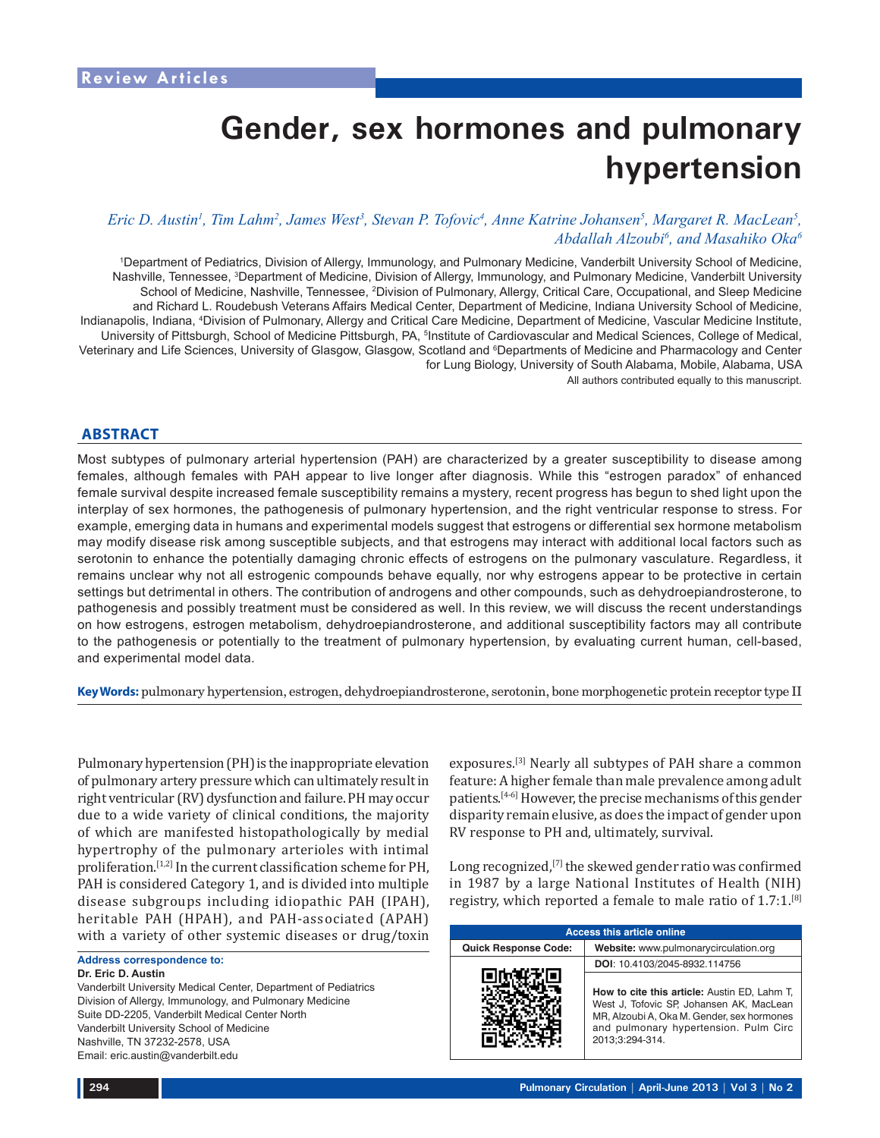# **Gender, sex hormones and pulmonary hypertension**

### *Eric D. Austin<sup>1</sup>, Tim Lahm<sup>2</sup>, James West<sup>3</sup>, Stevan P. Tofovic<sup>4</sup>, Anne Katrine Johansen<sup>5</sup>, Margaret R. MacLean<sup>5</sup>, Abdallah Alzoubi<sup>6</sup> , and Masahiko Oka<sup>6</sup>*

<sup>1</sup>Department of Pediatrics, Division of Allergy, Immunology, and Pulmonary Medicine, Vanderbilt University School of Medicine, Nashville, Tennessee, <sup>3</sup>Department of Medicine, Division of Allergy, Immunology, and Pulmonary Medicine, Vanderbilt University School of Medicine, Nashville, Tennessee, <sup>2</sup>Division of Pulmonary, Allergy, Critical Care, Occupational, and Sleep Medicine and Richard L. Roudebush Veterans Affairs Medical Center, Department of Medicine, Indiana University School of Medicine, Indianapolis, Indiana, <sup>4</sup>Division of Pulmonary, Allergy and Critical Care Medicine, Department of Medicine, Vascular Medicine Institute, University of Pittsburgh, School of Medicine Pittsburgh, PA, <sup>5</sup>Institute of Cardiovascular and Medical Sciences, College of Medical, Veterinary and Life Sciences, University of Glasgow, Glasgow, Scotland and <sup>6</sup>Departments of Medicine and Pharmacology and Center for Lung Biology, University of South Alabama, Mobile, Alabama, USA

All authors contributed equally to this manuscript.

#### **ABSTRACT**

Most subtypes of pulmonary arterial hypertension (PAH) are characterized by a greater susceptibility to disease among females, although females with PAH appear to live longer after diagnosis. While this "estrogen paradox" of enhanced female survival despite increased female susceptibility remains a mystery, recent progress has begun to shed light upon the interplay of sex hormones, the pathogenesis of pulmonary hypertension, and the right ventricular response to stress. For example, emerging data in humans and experimental models suggest that estrogens or differential sex hormone metabolism may modify disease risk among susceptible subjects, and that estrogens may interact with additional local factors such as serotonin to enhance the potentially damaging chronic effects of estrogens on the pulmonary vasculature. Regardless, it remains unclear why not all estrogenic compounds behave equally, nor why estrogens appear to be protective in certain settings but detrimental in others. The contribution of androgens and other compounds, such as dehydroepiandrosterone, to pathogenesis and possibly treatment must be considered as well. In this review, we will discuss the recent understandings on how estrogens, estrogen metabolism, dehydroepiandrosterone, and additional susceptibility factors may all contribute to the pathogenesis or potentially to the treatment of pulmonary hypertension, by evaluating current human, cell-based, and experimental model data.

**Key Words:** pulmonary hypertension, estrogen, dehydroepiandrosterone, serotonin, bone morphogenetic protein receptor type II

Pulmonary hypertension (PH) is the inappropriate elevation of pulmonary artery pressure which can ultimately result in right ventricular (RV) dysfunction and failure. PH may occur due to a wide variety of clinical conditions, the majority of which are manifested histopathologically by medial hypertrophy of the pulmonary arterioles with intimal proliferation.<sup>[1,2]</sup> In the current classification scheme for PH, PAH is considered Category 1, and is divided into multiple disease subgroups including idiopathic PAH (IPAH), heritable PAH (HPAH), and PAH-associated (APAH) with a variety of other systemic diseases or drug/toxin

**Address correspondence to: Dr. Eric D. Austin**

Vanderbilt University Medical Center, Department of Pediatrics Division of Allergy, Immunology, and Pulmonary Medicine Suite DD-2205, Vanderbilt Medical Center North Vanderbilt University School of Medicine Nashville, TN 37232-2578, USA Email: eric.austin@vanderbilt.edu

exposures.[3] Nearly all subtypes of PAH share a common feature: A higher female than male prevalence among adult patients.[4-6] However, the precise mechanisms of this gender disparity remain elusive, as does the impact of gender upon RV response to PH and, ultimately, survival.

Long recognized,<sup>[7]</sup> the skewed gender ratio was confirmed in 1987 by a large National Institutes of Health (NIH) registry, which reported a female to male ratio of 1.7:1.[8]

| <b>Access this article online</b> |                                                                                                                                                                                                    |
|-----------------------------------|----------------------------------------------------------------------------------------------------------------------------------------------------------------------------------------------------|
| <b>Quick Response Code:</b>       | Website: www.pulmonarycirculation.org                                                                                                                                                              |
|                                   | DOI: 10.4103/2045-8932.114756                                                                                                                                                                      |
|                                   | How to cite this article: Austin ED, Lahm T,<br>West J, Tofovic SP, Johansen AK, MacLean<br>MR, Alzoubi A, Oka M. Gender, sex hormones<br>and pulmonary hypertension. Pulm Circ<br>2013:3:294-314. |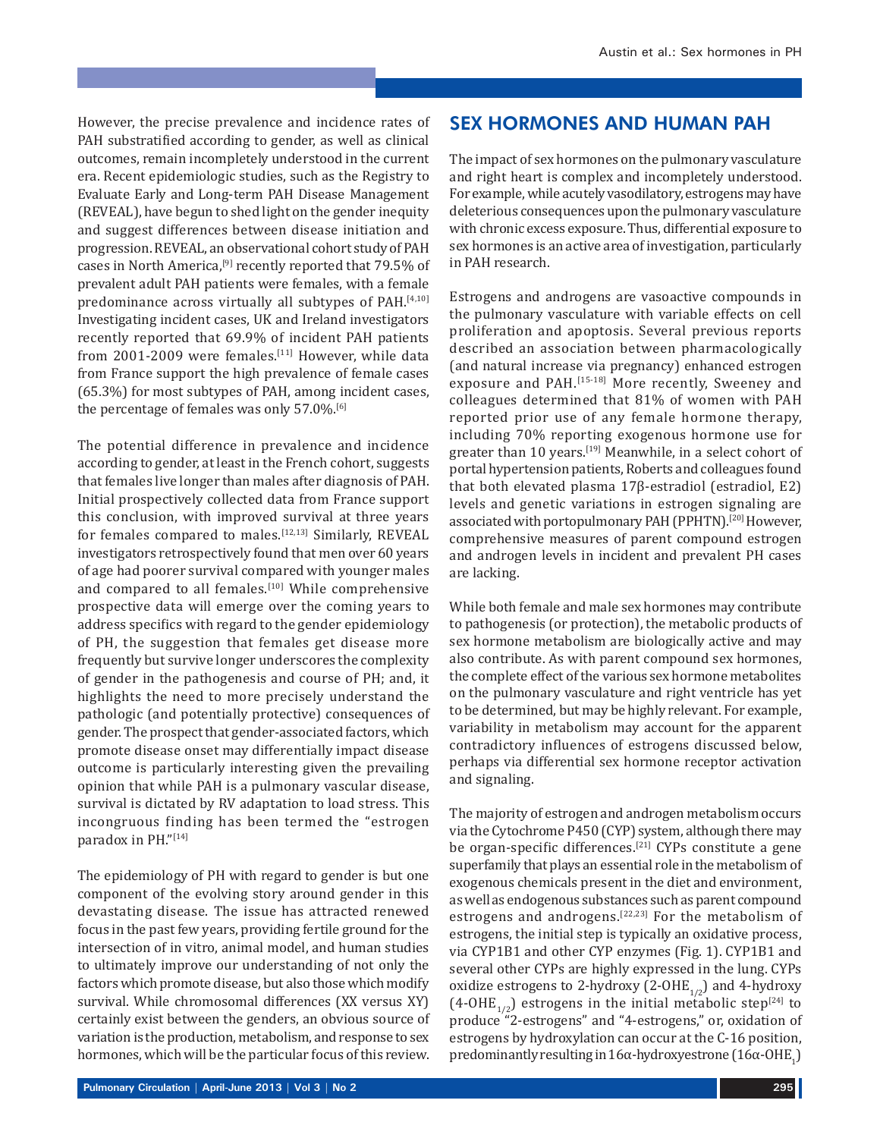However, the precise prevalence and incidence rates of PAH substratified according to gender, as well as clinical outcomes, remain incompletely understood in the current era. Recent epidemiologic studies, such as the Registry to Evaluate Early and Long-term PAH Disease Management (REVEAL), have begun to shed light on the gender inequity and suggest differences between disease initiation and progression. REVEAL, an observational cohort study of PAH cases in North America,<sup>[9]</sup> recently reported that 79.5% of prevalent adult PAH patients were females, with a female predominance across virtually all subtypes of PAH.[4,10] Investigating incident cases, UK and Ireland investigators recently reported that 69.9% of incident PAH patients from 2001-2009 were females.<sup>[11]</sup> However, while data from France support the high prevalence of female cases (65.3%) for most subtypes of PAH, among incident cases, the percentage of females was only 57.0%.[6]

The potential difference in prevalence and incidence according to gender, at least in the French cohort, suggests that females live longer than males after diagnosis of PAH. Initial prospectively collected data from France support this conclusion, with improved survival at three years for females compared to males.[12,13] Similarly, REVEAL investigators retrospectively found that men over 60 years of age had poorer survival compared with younger males and compared to all females.<sup>[10]</sup> While comprehensive prospective data will emerge over the coming years to address specifics with regard to the gender epidemiology of PH, the suggestion that females get disease more frequently but survive longer underscores the complexity of gender in the pathogenesis and course of PH; and, it highlights the need to more precisely understand the pathologic (and potentially protective) consequences of gender. The prospect that gender-associated factors, which promote disease onset may differentially impact disease outcome is particularly interesting given the prevailing opinion that while PAH is a pulmonary vascular disease, survival is dictated by RV adaptation to load stress. This incongruous finding has been termed the "estrogen paradox in PH."[14]

The epidemiology of PH with regard to gender is but one component of the evolving story around gender in this devastating disease. The issue has attracted renewed focus in the past few years, providing fertile ground for the intersection of in vitro, animal model, and human studies to ultimately improve our understanding of not only the factors which promote disease, but also those which modify survival. While chromosomal differences (XX versus XY) certainly exist between the genders, an obvious source of variation is the production, metabolism, and response to sex hormones, which will be the particular focus of this review.

# SEX HORMONES AND HUMAN PAH

The impact of sex hormones on the pulmonary vasculature and right heart is complex and incompletely understood. For example, while acutely vasodilatory, estrogens may have deleterious consequences upon the pulmonary vasculature with chronic excess exposure. Thus, differential exposure to sex hormones is an active area of investigation, particularly in PAH research.

Estrogens and androgens are vasoactive compounds in the pulmonary vasculature with variable effects on cell proliferation and apoptosis. Several previous reports described an association between pharmacologically (and natural increase via pregnancy) enhanced estrogen exposure and PAH.<sup>[15-18]</sup> More recently, Sweeney and colleagues determined that 81% of women with PAH reported prior use of any female hormone therapy, including 70% reporting exogenous hormone use for greater than 10 years.<sup>[19]</sup> Meanwhile, in a select cohort of portal hypertension patients, Roberts and colleagues found that both elevated plasma 17β-estradiol (estradiol, E2) levels and genetic variations in estrogen signaling are associated with portopulmonary PAH (PPHTN).[20] However, comprehensive measures of parent compound estrogen and androgen levels in incident and prevalent PH cases are lacking.

While both female and male sex hormones may contribute to pathogenesis (or protection), the metabolic products of sex hormone metabolism are biologically active and may also contribute. As with parent compound sex hormones, the complete effect of the various sex hormone metabolites on the pulmonary vasculature and right ventricle has yet to be determined, but may be highly relevant. For example, variability in metabolism may account for the apparent contradictory influences of estrogens discussed below, perhaps via differential sex hormone receptor activation and signaling.

The majority of estrogen and androgen metabolism occurs via the Cytochrome P450 (CYP) system, although there may be organ-specific differences.[21] CYPs constitute a gene superfamily that plays an essential role in the metabolism of exogenous chemicals present in the diet and environment, as well as endogenous substances such as parent compound estrogens and androgens.<sup>[22,23]</sup> For the metabolism of estrogens, the initial step is typically an oxidative process, via CYP1B1 and other CYP enzymes (Fig. 1). CYP1B1 and several other CYPs are highly expressed in the lung. CYPs oxidize estrogens to 2-hydroxy (2-OHE $_{1/2}$ ) and 4-hydroxy  $(4\text{-OHE}_{1/2})$  estrogens in the initial metabolic step<sup>[24]</sup> to produce "2-estrogens" and "4-estrogens," or, oxidation of estrogens by hydroxylation can occur at the C-16 position, predominantly resulting in 16α-hydroxyestrone (16α-OHE<sub>1</sub>)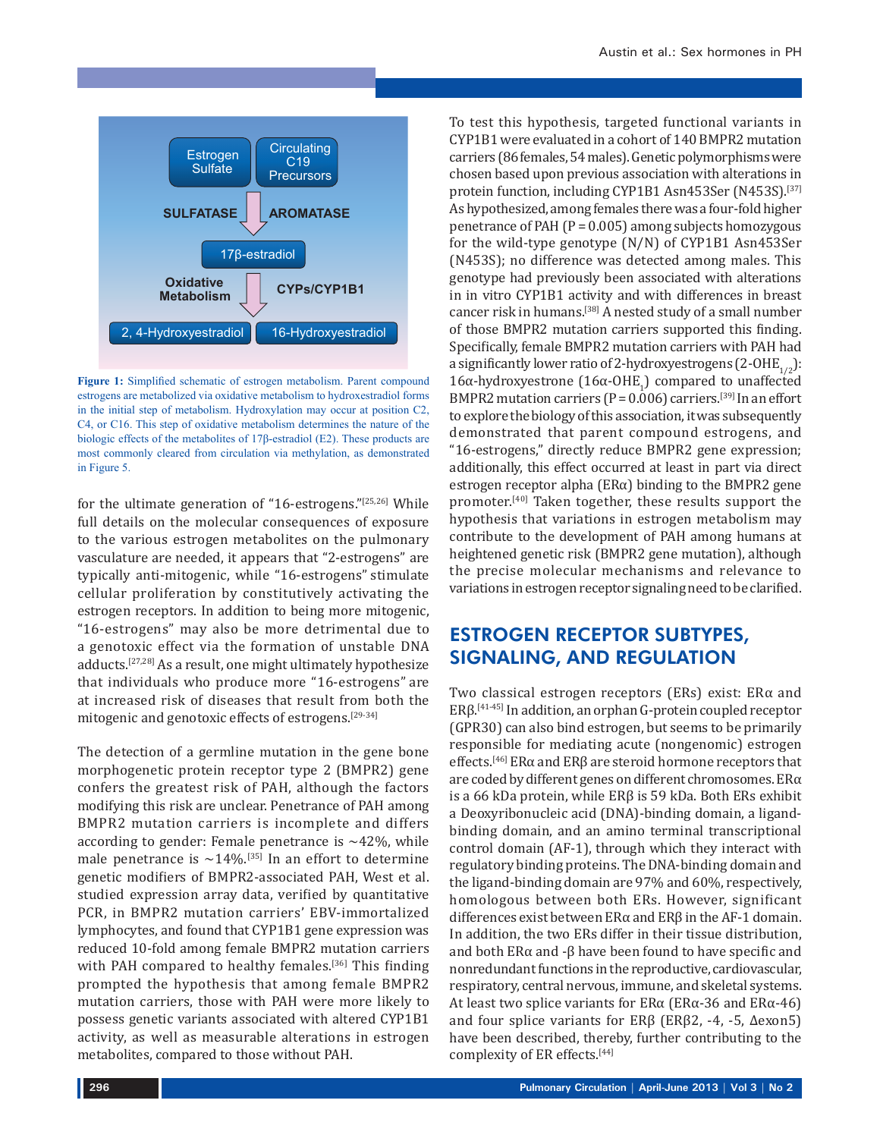

**Figure 1:** Simplified schematic of estrogen metabolism. Parent compound estrogens are metabolized via oxidative metabolism to hydroxestradiol forms in the initial step of metabolism. Hydroxylation may occur at position C2, C4, or C16. This step of oxidative metabolism determines the nature of the biologic effects of the metabolites of 17β-estradiol (E2). These products are most commonly cleared from circulation via methylation, as demonstrated in Figure 5.

for the ultimate generation of "16-estrogens."[25,26] While full details on the molecular consequences of exposure to the various estrogen metabolites on the pulmonary vasculature are needed, it appears that "2-estrogens" are typically anti-mitogenic, while "16-estrogens" stimulate cellular proliferation by constitutively activating the estrogen receptors. In addition to being more mitogenic, "16-estrogens" may also be more detrimental due to a genotoxic effect via the formation of unstable DNA adducts.[27,28] As a result, one might ultimately hypothesize that individuals who produce more "16-estrogens" are at increased risk of diseases that result from both the mitogenic and genotoxic effects of estrogens.[29-34]

The detection of a germline mutation in the gene bone morphogenetic protein receptor type 2 (BMPR2) gene confers the greatest risk of PAH, although the factors modifying this risk are unclear. Penetrance of PAH among BMPR2 mutation carriers is incomplete and differs according to gender: Female penetrance is  $\sim$ 42%, while male penetrance is  $\sim$ 14%.<sup>[35]</sup> In an effort to determine genetic modifiers of BMPR2-associated PAH, West et al. studied expression array data, verified by quantitative PCR, in BMPR2 mutation carriers' EBV-immortalized lymphocytes, and found that CYP1B1 gene expression was reduced 10-fold among female BMPR2 mutation carriers with PAH compared to healthy females.<sup>[36]</sup> This finding prompted the hypothesis that among female BMPR2 mutation carriers, those with PAH were more likely to possess genetic variants associated with altered CYP1B1 activity, as well as measurable alterations in estrogen metabolites, compared to those without PAH.

To test this hypothesis, targeted functional variants in CYP1B1 were evaluated in a cohort of 140 BMPR2 mutation carriers (86 females, 54 males). Genetic polymorphisms were chosen based upon previous association with alterations in protein function, including CYP1B1 Asn453Ser (N453S).[37] As hypothesized, among females there was a four-fold higher penetrance of PAH ( $P = 0.005$ ) among subjects homozygous for the wild-type genotype (N/N) of CYP1B1 Asn453Ser (N453S); no difference was detected among males. This genotype had previously been associated with alterations in in vitro CYP1B1 activity and with differences in breast cancer risk in humans.[38] A nested study of a small number of those BMPR2 mutation carriers supported this finding. Specifically, female BMPR2 mutation carriers with PAH had a significantly lower ratio of 2-hydroxyestrogens (2-OHE<sub>1/2</sub>): 16α-hydroxyestrone  $(16α$ -OHE<sub>1</sub>) compared to unaffected BMPR2 mutation carriers ( $P = 0.006$ ) carriers.<sup>[39]</sup> In an effort to explore the biology of this association, it was subsequently demonstrated that parent compound estrogens, and "16-estrogens," directly reduce BMPR2 gene expression; additionally, this effect occurred at least in part via direct estrogen receptor alpha ( $ER\alpha$ ) binding to the BMPR2 gene promoter.[40] Taken together, these results support the hypothesis that variations in estrogen metabolism may contribute to the development of PAH among humans at heightened genetic risk (BMPR2 gene mutation), although the precise molecular mechanisms and relevance to variations in estrogen receptor signaling need to be clarified.

# ESTROGEN RECEPTOR SUBTYPES, SIGNALING, AND REGULATION

Two classical estrogen receptors (ERs) exist: ERα and ERβ.[41-45] In addition, an orphan G-protein coupled receptor (GPR30) can also bind estrogen, but seems to be primarily responsible for mediating acute (nongenomic) estrogen effects.[46] ERα and ERβ are steroid hormone receptors that are coded by different genes on different chromosomes. ERα is a 66 kDa protein, while ERβ is 59 kDa. Both ERs exhibit a Deoxyribonucleic acid (DNA)-binding domain, a ligandbinding domain, and an amino terminal transcriptional control domain (AF-1), through which they interact with regulatory binding proteins. The DNA-binding domain and the ligand-binding domain are 97% and 60%, respectively, homologous between both ERs. However, significant differences exist between ERα and ERβ in the AF-1 domain. In addition, the two ERs differ in their tissue distribution, and both ERα and -β have been found to have specific and nonredundant functions in the reproductive, cardiovascular, respiratory, central nervous, immune, and skeletal systems. At least two splice variants for  $ER\alpha$  ( $ER\alpha$ -36 and  $ER\alpha$ -46) and four splice variants for ERβ (ERβ2, -4, -5, Δexon5) have been described, thereby, further contributing to the complexity of ER effects.[44]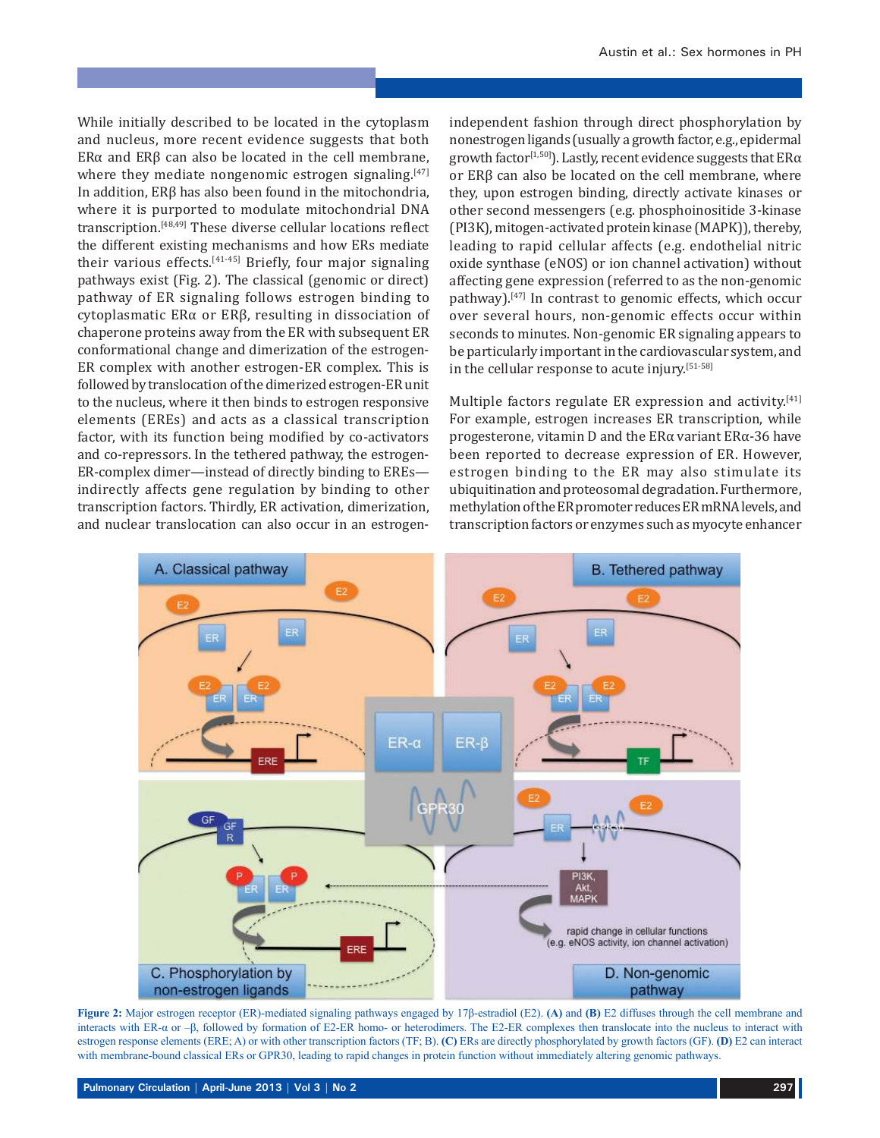While initially described to be located in the cytoplasm and nucleus, more recent evidence suggests that both ERα and ERβ can also be located in the cell membrane, where they mediate nongenomic estrogen signaling. $[47]$ In addition, ERβ has also been found in the mitochondria, where it is purported to modulate mitochondrial DNA transcription.[48,49] These diverse cellular locations reflect the different existing mechanisms and how ERs mediate their various effects.[41-45] Briefly, four major signaling pathways exist (Fig. 2). The classical (genomic or direct) pathway of ER signaling follows estrogen binding to cytoplasmatic ERα or ERβ, resulting in dissociation of chaperone proteins away from the ER with subsequent ER conformational change and dimerization of the estrogen-ER complex with another estrogen-ER complex. This is followed by translocation of the dimerized estrogen-ER unit to the nucleus, where it then binds to estrogen responsive elements (EREs) and acts as a classical transcription factor, with its function being modified by co-activators and co-repressors. In the tethered pathway, the estrogen-ER-complex dimer—instead of directly binding to EREs indirectly affects gene regulation by binding to other transcription factors. Thirdly, ER activation, dimerization, and nuclear translocation can also occur in an estrogenindependent fashion through direct phosphorylation by nonestrogen ligands (usually a growth factor, e.g., epidermal growth factor<sup>[1,50]</sup>). Lastly, recent evidence suggests that  $ER\alpha$ or ERβ can also be located on the cell membrane, where they, upon estrogen binding, directly activate kinases or other second messengers (e.g. phosphoinositide 3-kinase (PI3K), mitogen-activated protein kinase (MAPK)), thereby, leading to rapid cellular affects (e.g. endothelial nitric oxide synthase (eNOS) or ion channel activation) without affecting gene expression (referred to as the non-genomic pathway).[47] In contrast to genomic effects, which occur over several hours, non-genomic effects occur within seconds to minutes. Non-genomic ER signaling appears to be particularly important in the cardiovascular system, and in the cellular response to acute injury.[51-58]

Multiple factors regulate ER expression and activity.<sup>[41]</sup> For example, estrogen increases ER transcription, while progesterone, vitamin D and the ERα variant ERα-36 have been reported to decrease expression of ER. However, estrogen binding to the ER may also stimulate its ubiquitination and proteosomal degradation. Furthermore, methylation of the ER promoter reduces ER mRNA levels, and transcription factors or enzymes such as myocyte enhancer



**Figure 2:** Major estrogen receptor (ER)-mediated signaling pathways engaged by 17β-estradiol (E2). **(A)** and **(B)** E2 diffuses through the cell membrane and interacts with ER-α or –β, followed by formation of E2-ER homo- or heterodimers. The E2-ER complexes then translocate into the nucleus to interact with estrogen response elements (ERE; A) or with other transcription factors (TF; B). **(C)** ERs are directly phosphorylated by growth factors (GF). **(D)** E2 can interact with membrane-bound classical ERs or GPR30, leading to rapid changes in protein function without immediately altering genomic pathways.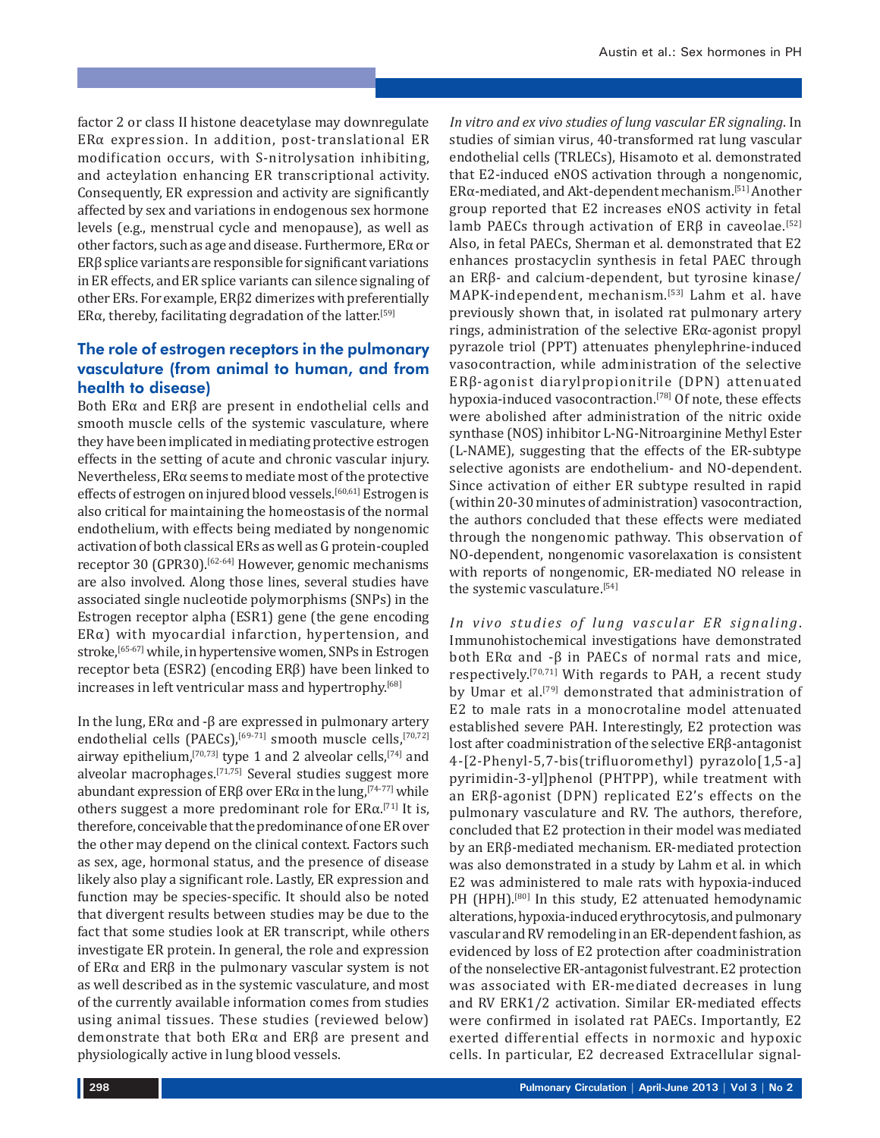factor 2 or class II histone deacetylase may downregulate ERα expression. In addition, post-translational ER modification occurs, with S-nitrolysation inhibiting, and acteylation enhancing ER transcriptional activity. Consequently, ER expression and activity are significantly affected by sex and variations in endogenous sex hormone levels (e.g., menstrual cycle and menopause), as well as other factors, such as age and disease. Furthermore, ERα or ERβ splice variants are responsible for significant variations in ER effects, and ER splice variants can silence signaling of other ERs. For example, ERβ2 dimerizes with preferentially ER $\alpha$ , thereby, facilitating degradation of the latter.<sup>[59]</sup>

# The role of estrogen receptors in the pulmonary vasculature (from animal to human, and from health to disease)

Both ERα and ERβ are present in endothelial cells and smooth muscle cells of the systemic vasculature, where they have been implicated in mediating protective estrogen effects in the setting of acute and chronic vascular injury. Nevertheless,  $ER\alpha$  seems to mediate most of the protective effects of estrogen on injured blood vessels.<sup>[60,61]</sup> Estrogen is also critical for maintaining the homeostasis of the normal endothelium, with effects being mediated by nongenomic activation of both classical ERs as well as G protein-coupled receptor 30 (GPR30).[62-64] However, genomic mechanisms are also involved. Along those lines, several studies have associated single nucleotide polymorphisms (SNPs) in the Estrogen receptor alpha (ESR1) gene (the gene encoding  $ER\alpha$ ) with myocardial infarction, hypertension, and stroke,<sup>[65-67]</sup> while, in hypertensive women, SNPs in Estrogen receptor beta (ESR2) (encoding ERβ) have been linked to increases in left ventricular mass and hypertrophy.<sup>[68]</sup>

In the lung,  $E$ Rα and -β are expressed in pulmonary artery endothelial cells (PAECs),<sup>[69-71]</sup> smooth muscle cells,<sup>[70,72]</sup> airway epithelium,  $[70,73]$  type 1 and 2 alveolar cells,  $[74]$  and alveolar macrophages.[71,75] Several studies suggest more abundant expression of ERβ over ER $\alpha$  in the lung, [74-77] while others suggest a more predominant role for  $ER\alpha$ .<sup>[71]</sup> It is, therefore, conceivable that the predominance of one ER over the other may depend on the clinical context. Factors such as sex, age, hormonal status, and the presence of disease likely also play a significant role. Lastly, ER expression and function may be species-specific. It should also be noted that divergent results between studies may be due to the fact that some studies look at ER transcript, while others investigate ER protein. In general, the role and expression of ERα and ERβ in the pulmonary vascular system is not as well described as in the systemic vasculature, and most of the currently available information comes from studies using animal tissues. These studies (reviewed below) demonstrate that both ERα and ERβ are present and physiologically active in lung blood vessels.

*In vitro and ex vivo studies of lung vascular ER signaling*. In studies of simian virus, 40-transformed rat lung vascular endothelial cells (TRLECs), Hisamoto et al. demonstrated that E2-induced eNOS activation through a nongenomic, ERα-mediated, and Akt-dependent mechanism.[51] Another group reported that E2 increases eNOS activity in fetal lamb PAECs through activation of ER $\beta$  in caveolae.<sup>[52]</sup> Also, in fetal PAECs, Sherman et al. demonstrated that E2 enhances prostacyclin synthesis in fetal PAEC through an ERβ- and calcium-dependent, but tyrosine kinase/ MAPK-independent, mechanism.[53] Lahm et al. have previously shown that, in isolated rat pulmonary artery rings, administration of the selective ERα-agonist propyl pyrazole triol (PPT) attenuates phenylephrine-induced vasocontraction, while administration of the selective ERβ-agonist diarylpropionitrile (DPN) attenuated hypoxia-induced vasocontraction.<sup>[78]</sup> Of note, these effects were abolished after administration of the nitric oxide synthase (NOS) inhibitor L-NG-Nitroarginine Methyl Ester (L-NAME), suggesting that the effects of the ER-subtype selective agonists are endothelium- and NO-dependent. Since activation of either ER subtype resulted in rapid (within 20-30 minutes of administration) vasocontraction, the authors concluded that these effects were mediated through the nongenomic pathway. This observation of NO-dependent, nongenomic vasorelaxation is consistent with reports of nongenomic, ER-mediated NO release in the systemic vasculature.<sup>[54]</sup>

*In vivo studies of lung vascular ER signaling*. Immunohistochemical investigations have demonstrated both ERα and -β in PAECs of normal rats and mice, respectively.[70,71] With regards to PAH, a recent study by Umar et al.<sup>[79]</sup> demonstrated that administration of E2 to male rats in a monocrotaline model attenuated established severe PAH. Interestingly, E2 protection was lost after coadministration of the selective ERβ-antagonist 4-[2-Phenyl-5,7-bis(trifluoromethyl) pyrazolo[1,5-a] pyrimidin-3-yl]phenol (PHTPP), while treatment with an ERβ-agonist (DPN) replicated E2's effects on the pulmonary vasculature and RV. The authors, therefore, concluded that E2 protection in their model was mediated by an ERβ-mediated mechanism. ER-mediated protection was also demonstrated in a study by Lahm et al. in which E2 was administered to male rats with hypoxia-induced PH (HPH).<sup>[80]</sup> In this study, E2 attenuated hemodynamic alterations, hypoxia-induced erythrocytosis, and pulmonary vascular and RV remodeling in an ER-dependent fashion, as evidenced by loss of E2 protection after coadministration of the nonselective ER-antagonist fulvestrant. E2 protection was associated with ER-mediated decreases in lung and RV ERK1/2 activation. Similar ER-mediated effects were confirmed in isolated rat PAECs. Importantly, E2 exerted differential effects in normoxic and hypoxic cells. In particular, E2 decreased Extracellular signal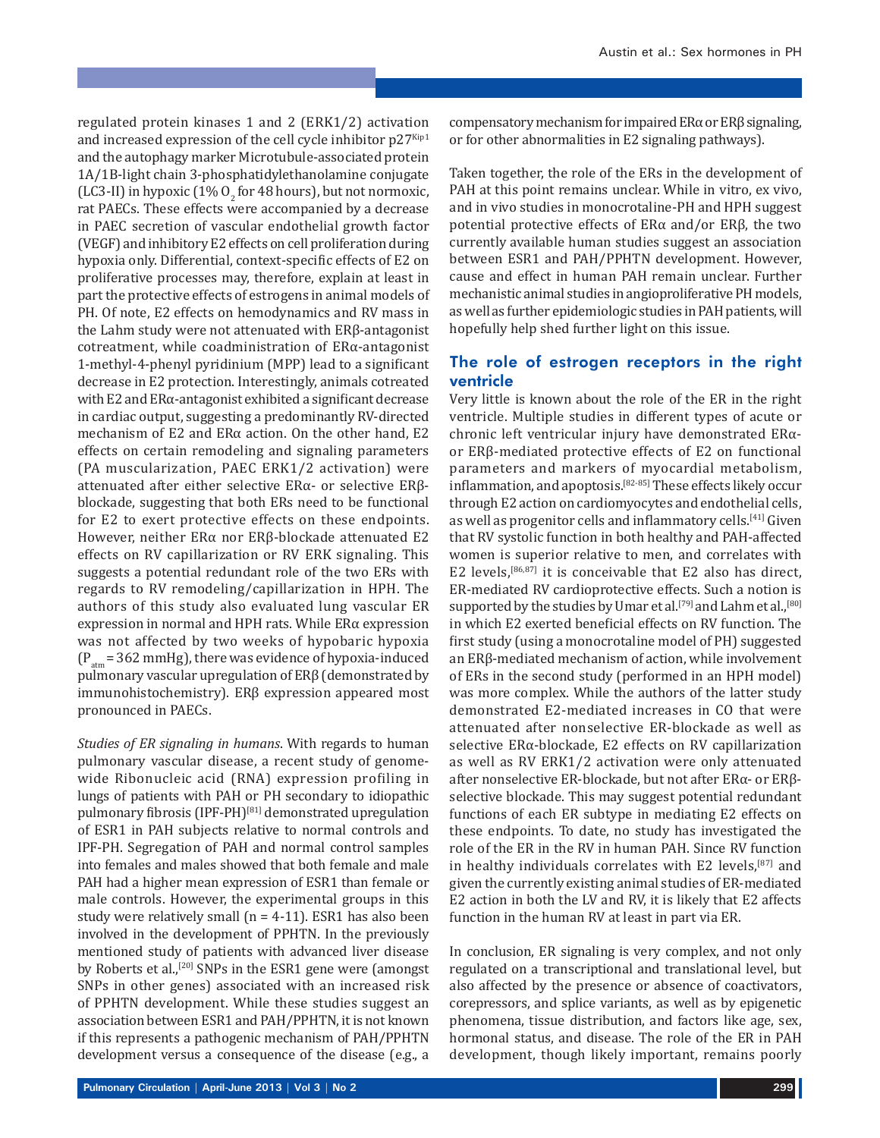regulated protein kinases 1 and 2 (ERK1/2) activation and increased expression of the cell cycle inhibitor  $p27^{kip1}$ and the autophagy marker Microtubule-associated protein 1A/1B-light chain 3-phosphatidylethanolamine conjugate (LC3-II) in hypoxic (1%  $O_2$  for 48 hours), but not normoxic, rat PAECs. These effects were accompanied by a decrease in PAEC secretion of vascular endothelial growth factor (VEGF) and inhibitory E2 effects on cell proliferation during hypoxia only. Differential, context-specific effects of E2 on proliferative processes may, therefore, explain at least in part the protective effects of estrogens in animal models of PH. Of note, E2 effects on hemodynamics and RV mass in the Lahm study were not attenuated with ERβ-antagonist cotreatment, while coadministration of ERα-antagonist 1-methyl-4-phenyl pyridinium (MPP) lead to a significant decrease in E2 protection. Interestingly, animals cotreated with E2 and ERα-antagonist exhibited a significant decrease in cardiac output, suggesting a predominantly RV-directed mechanism of E2 and ERα action. On the other hand, E2 effects on certain remodeling and signaling parameters (PA muscularization, PAEC ERK1/2 activation) were attenuated after either selective ERα- or selective ERβblockade, suggesting that both ERs need to be functional for E2 to exert protective effects on these endpoints. However, neither ERα nor ERβ-blockade attenuated E2 effects on RV capillarization or RV ERK signaling. This suggests a potential redundant role of the two ERs with regards to RV remodeling/capillarization in HPH. The authors of this study also evaluated lung vascular ER expression in normal and HPH rats. While ERα expression was not affected by two weeks of hypobaric hypoxia  $(P_{atm} = 362$  mmHg), there was evidence of hypoxia-induced pulmonary vascular upregulation of ERβ (demonstrated by immunohistochemistry). ERβ expression appeared most pronounced in PAECs.

*Studies of ER signaling in humans*. With regards to human pulmonary vascular disease, a recent study of genomewide Ribonucleic acid (RNA) expression profiling in lungs of patients with PAH or PH secondary to idiopathic pulmonary fibrosis (IPF-PH)<sup>[81]</sup> demonstrated upregulation of ESR1 in PAH subjects relative to normal controls and IPF-PH. Segregation of PAH and normal control samples into females and males showed that both female and male PAH had a higher mean expression of ESR1 than female or male controls. However, the experimental groups in this study were relatively small ( $n = 4-11$ ). ESR1 has also been involved in the development of PPHTN. In the previously mentioned study of patients with advanced liver disease by Roberts et al.,<sup>[20]</sup> SNPs in the ESR1 gene were (amongst SNPs in other genes) associated with an increased risk of PPHTN development. While these studies suggest an association between ESR1 and PAH/PPHTN, it is not known if this represents a pathogenic mechanism of PAH/PPHTN development versus a consequence of the disease (e.g., a

**Pulmonary Circulation | April-June 2013 | Vol 3 | No 2 299**

compensatory mechanism for impaired ERα or ERβ signaling, or for other abnormalities in E2 signaling pathways).

Taken together, the role of the ERs in the development of PAH at this point remains unclear. While in vitro, ex vivo, and in vivo studies in monocrotaline-PH and HPH suggest potential protective effects of ERα and/or ERβ, the two currently available human studies suggest an association between ESR1 and PAH/PPHTN development. However, cause and effect in human PAH remain unclear. Further mechanistic animal studies in angioproliferative PH models, as well as further epidemiologic studies in PAH patients, will hopefully help shed further light on this issue.

### The role of estrogen receptors in the right ventricle

Very little is known about the role of the ER in the right ventricle. Multiple studies in different types of acute or chronic left ventricular injury have demonstrated ERαor ERβ-mediated protective effects of E2 on functional parameters and markers of myocardial metabolism, inflammation, and apoptosis.[82-85] These effects likely occur through E2 action on cardiomyocytes and endothelial cells, as well as progenitor cells and inflammatory cells.<sup>[41]</sup> Given that RV systolic function in both healthy and PAH-affected women is superior relative to men, and correlates with E2 levels,  $[86,87]$  it is conceivable that E2 also has direct, ER-mediated RV cardioprotective effects. Such a notion is supported by the studies by Umar et al.<sup>[79]</sup> and Lahm et al.,<sup>[80]</sup> in which E2 exerted beneficial effects on RV function. The first study (using a monocrotaline model of PH) suggested an ERβ-mediated mechanism of action, while involvement of ERs in the second study (performed in an HPH model) was more complex. While the authors of the latter study demonstrated E2-mediated increases in CO that were attenuated after nonselective ER-blockade as well as selective ERα-blockade, E2 effects on RV capillarization as well as RV ERK1/2 activation were only attenuated after nonselective ER-blockade, but not after ERα- or ERβselective blockade. This may suggest potential redundant functions of each ER subtype in mediating E2 effects on these endpoints. To date, no study has investigated the role of the ER in the RV in human PAH. Since RV function in healthy individuals correlates with E2 levels,[87] and given the currently existing animal studies of ER-mediated E2 action in both the LV and RV, it is likely that E2 affects function in the human RV at least in part via ER.

In conclusion, ER signaling is very complex, and not only regulated on a transcriptional and translational level, but also affected by the presence or absence of coactivators, corepressors, and splice variants, as well as by epigenetic phenomena, tissue distribution, and factors like age, sex, hormonal status, and disease. The role of the ER in PAH development, though likely important, remains poorly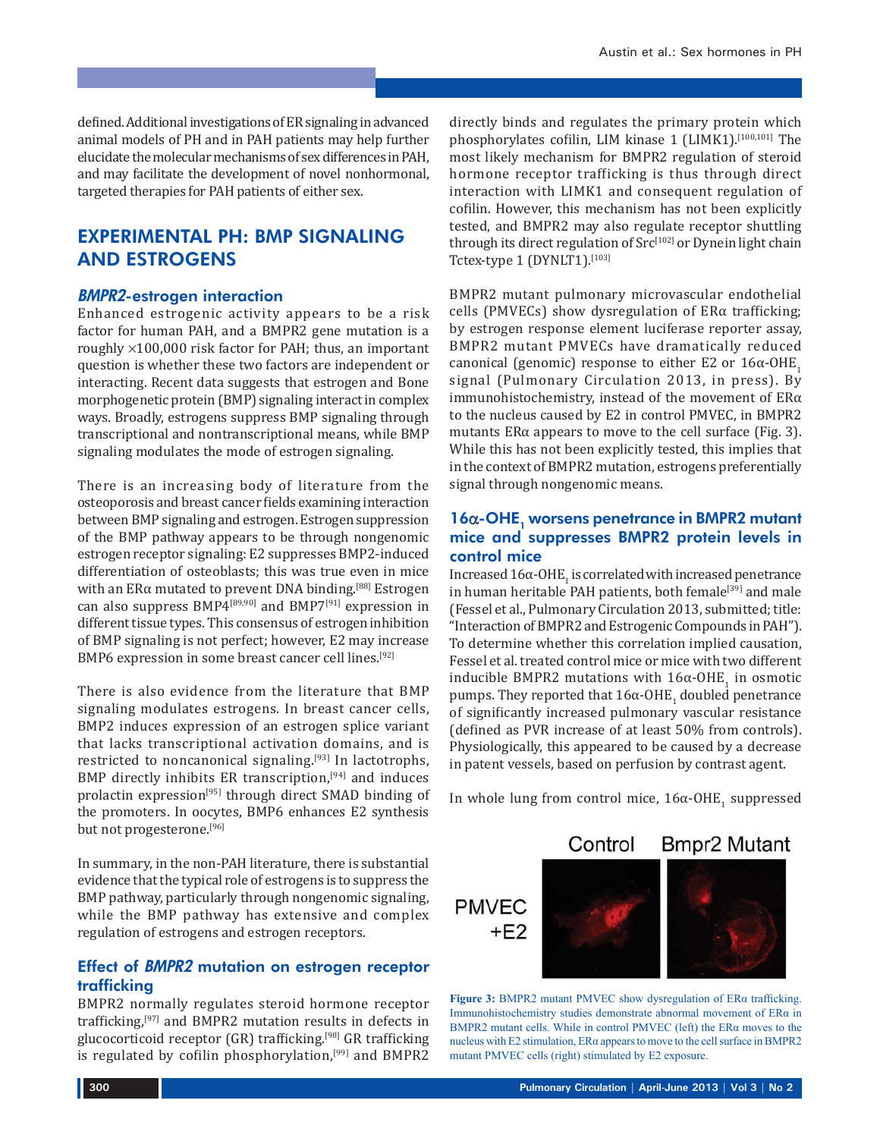defined. Additional investigations of ER signaling in advanced animal models of PH and in PAH patients may help further elucidate the molecular mechanisms of sex differences in PAH, and may facilitate the development of novel nonhormonal, targeted therapies for PAH patients of either sex.

# EXPERIMENTAL PH: BMP SIGNALING AND ESTROGENS

### BMPR2-estrogen interaction

Enhanced estrogenic activity appears to be a risk factor for human PAH, and a BMPR2 gene mutation is a roughly ×100,000 risk factor for PAH; thus, an important question is whether these two factors are independent or interacting. Recent data suggests that estrogen and Bone morphogenetic protein (BMP) signaling interact in complex ways. Broadly, estrogens suppress BMP signaling through transcriptional and nontranscriptional means, while BMP signaling modulates the mode of estrogen signaling.

There is an increasing body of literature from the osteoporosis and breast cancer fields examining interaction between BMP signaling and estrogen. Estrogen suppression of the BMP pathway appears to be through nongenomic estrogen receptor signaling: E2 suppresses BMP2-induced differentiation of osteoblasts; this was true even in mice with an ΕRα mutated to prevent DNA binding.<sup>[88]</sup> Estrogen can also suppress  $BMP4^{[89,90]}$  and  $BMP7^{[91]}$  expression in different tissue types. This consensus of estrogen inhibition of BMP signaling is not perfect; however, E2 may increase BMP6 expression in some breast cancer cell lines.[92]

There is also evidence from the literature that BMP signaling modulates estrogens. In breast cancer cells, BMP2 induces expression of an estrogen splice variant that lacks transcriptional activation domains, and is restricted to noncanonical signaling.[93] In lactotrophs, BMP directly inhibits ER transcription, $[94]$  and induces prolactin expression<sup>[95]</sup> through direct SMAD binding of the promoters. In oocytes, BMP6 enhances E2 synthesis but not progesterone.<sup>[96]</sup>

In summary, in the non-PAH literature, there is substantial evidence that the typical role of estrogens is to suppress the BMP pathway, particularly through nongenomic signaling, while the BMP pathway has extensive and complex regulation of estrogens and estrogen receptors.

### Effect of BMPR2 mutation on estrogen receptor trafficking

BMPR2 normally regulates steroid hormone receptor trafficking,[97] and BMPR2 mutation results in defects in glucocorticoid receptor (GR) trafficking.[98] GR trafficking is regulated by cofilin phosphorylation,<sup>[99]</sup> and BMPR2

directly binds and regulates the primary protein which phosphorylates cofilin, LIM kinase 1 (LIMK1).[100,101] The most likely mechanism for BMPR2 regulation of steroid hormone receptor trafficking is thus through direct interaction with LIMK1 and consequent regulation of cofilin. However, this mechanism has not been explicitly tested, and BMPR2 may also regulate receptor shuttling through its direct regulation of  $Src^{[102]}$  or Dynein light chain Tctex-type 1 (DYNLT1).<sup>[103]</sup>

BMPR2 mutant pulmonary microvascular endothelial cells (PMVECs) show dysregulation of ERα trafficking; by estrogen response element luciferase reporter assay, BMPR2 mutant PMVECs have dramatically reduced canonical (genomic) response to either E2 or  $16\alpha$ -OHE<sub>1</sub> signal (Pulmonary Circulation 2013, in press). By immunohistochemistry, instead of the movement of ERα to the nucleus caused by E2 in control PMVEC, in BMPR2 mutants  $ER\alpha$  appears to move to the cell surface (Fig. 3). While this has not been explicitly tested, this implies that in the context of BMPR2 mutation, estrogens preferentially signal through nongenomic means.

# $16\alpha$ -OHE<sub>1</sub> worsens penetrance in BMPR2 mutant mice and suppresses BMPR2 protein levels in control mice

Increased  $16\alpha$ -OHE<sub>1</sub> is correlated with increased penetrance in human heritable PAH patients, both female<sup>[39]</sup> and male (Fessel et al., Pulmonary Circulation 2013, submitted; title: "Interaction of BMPR2 and Estrogenic Compounds in PAH"). To determine whether this correlation implied causation, Fessel et al. treated control mice or mice with two different inducible BMPR2 mutations with  $16\alpha$ -OHE<sub>1</sub> in osmotic pumps. They reported that  $16\alpha$ -OHE<sub>1</sub> doubled penetrance of significantly increased pulmonary vascular resistance (defined as PVR increase of at least 50% from controls). Physiologically, this appeared to be caused by a decrease in patent vessels, based on perfusion by contrast agent.

In whole lung from control mice,  $16α$ -OHE<sub>1</sub> suppressed



**Figure 3:** BMPR2 mutant PMVEC show dysregulation of ERα trafficking. Immunohistochemistry studies demonstrate abnormal movement of ERα in BMPR2 mutant cells. While in control PMVEC (left) the ERα moves to the nucleus with E2 stimulation, ERα appears to move to the cell surface in BMPR2 mutant PMVEC cells (right) stimulated by E2 exposure.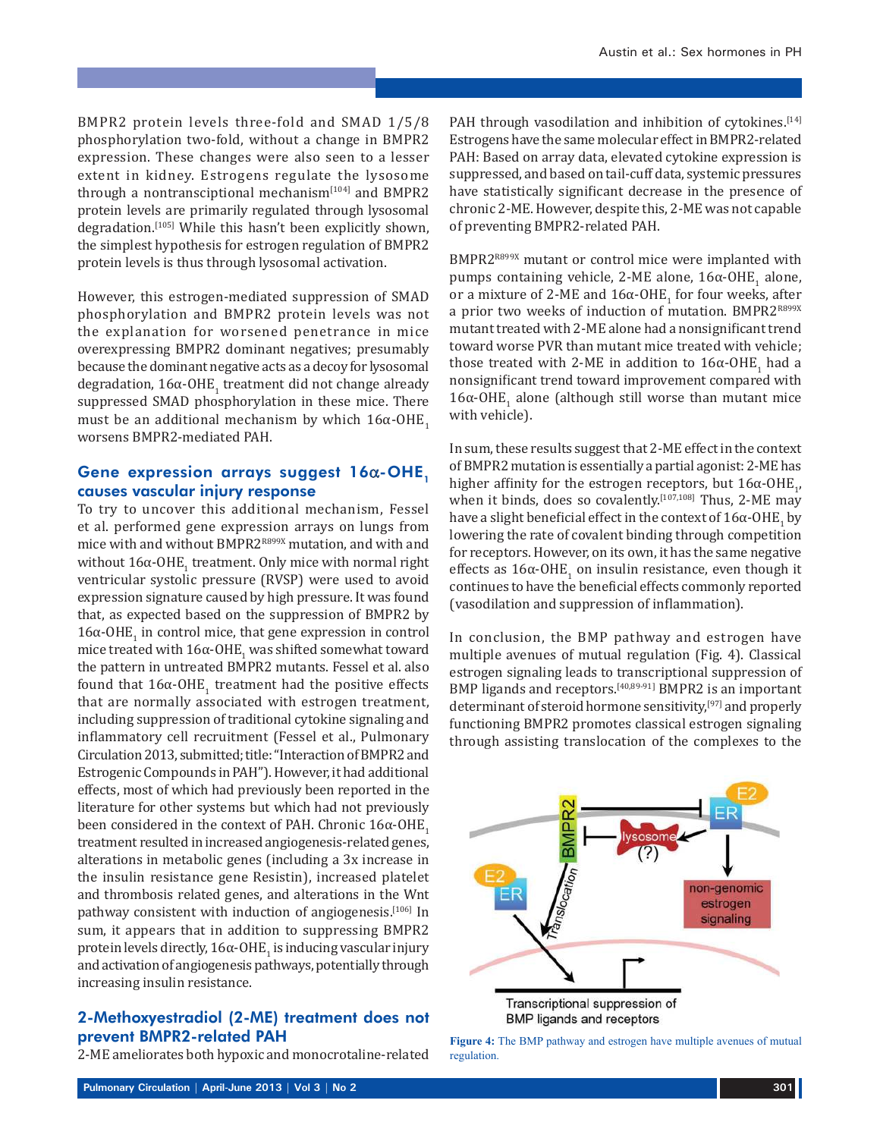BMPR2 protein levels three-fold and SMAD 1/5/8 phosphorylation two-fold, without a change in BMPR2 expression. These changes were also seen to a lesser extent in kidney. Estrogens regulate the lysosome through a nontransciptional mechanism $[104]$  and BMPR2 protein levels are primarily regulated through lysosomal degradation.[105] While this hasn't been explicitly shown, the simplest hypothesis for estrogen regulation of BMPR2 protein levels is thus through lysosomal activation.

However, this estrogen-mediated suppression of SMAD phosphorylation and BMPR2 protein levels was not the explanation for worsened penetrance in mice overexpressing BMPR2 dominant negatives; presumably because the dominant negative acts as a decoy for lysosomal degradation,  $16\alpha$ -OHE<sub>1</sub> treatment did not change already suppressed SMAD phosphorylation in these mice. There must be an additional mechanism by which  $16α$ -OHE<sub>1</sub> worsens BMPR2-mediated PAH.

# Gene expression arrays suggest  $16\alpha$ -OHE, causes vascular injury response

To try to uncover this additional mechanism, Fessel et al. performed gene expression arrays on lungs from mice with and without BMPR2<sup>R899X</sup> mutation, and with and without 16α-OHE<sub>1</sub> treatment. Only mice with normal right ventricular systolic pressure (RVSP) were used to avoid expression signature caused by high pressure. It was found that, as expected based on the suppression of BMPR2 by  $16α$ -OHE<sub>1</sub> in control mice, that gene expression in control mice treated with  $16α$ -OHE<sub>1</sub> was shifted somewhat toward the pattern in untreated BMPR2 mutants. Fessel et al. also found that  $16\alpha$ -OHE<sub>1</sub> treatment had the positive effects that are normally associated with estrogen treatment, including suppression of traditional cytokine signaling and inflammatory cell recruitment (Fessel et al., Pulmonary Circulation 2013, submitted; title: "Interaction of BMPR2 and Estrogenic Compounds in PAH"). However, it had additional effects, most of which had previously been reported in the literature for other systems but which had not previously been considered in the context of PAH. Chronic  $16\alpha$ -OHE<sub>1</sub> treatment resulted in increased angiogenesis-related genes, alterations in metabolic genes (including a 3x increase in the insulin resistance gene Resistin), increased platelet and thrombosis related genes, and alterations in the Wnt pathway consistent with induction of angiogenesis.[106] In sum, it appears that in addition to suppressing BMPR2 protein levels directly,  $16\alpha$ -OHE<sub>1</sub> is inducing vascular injury and activation of angiogenesis pathways, potentially through increasing insulin resistance.

### 2-Methoxyestradiol (2-ME) treatment does not prevent BMPR2-related PAH

2-ME ameliorates both hypoxic and monocrotaline-related

PAH through vasodilation and inhibition of cytokines.<sup>[14]</sup> Estrogens have the same molecular effect in BMPR2-related PAH: Based on array data, elevated cytokine expression is suppressed, and based on tail-cuff data, systemic pressures have statistically significant decrease in the presence of chronic 2-ME. However, despite this, 2-ME was not capable of preventing BMPR2-related PAH.

BMPR2<sup>R899X</sup> mutant or control mice were implanted with pumps containing vehicle, 2-ME alone,  $16\alpha$ -OHE<sub>1</sub> alone, or a mixture of 2-ME and  $16α$ -OHE<sub>1</sub> for four weeks, after a prior two weeks of induction of mutation. BMPR2R899X mutant treated with 2-ME alone had a nonsignificant trend toward worse PVR than mutant mice treated with vehicle; those treated with 2-ME in addition to  $16\alpha$ -OHE<sub>1</sub> had a nonsignificant trend toward improvement compared with 16α-OHE<sub>1</sub> alone (although still worse than mutant mice with vehicle).

In sum, these results suggest that 2-ME effect in the context of BMPR2 mutation is essentially a partial agonist: 2-ME has higher affinity for the estrogen receptors, but  $16α$ -OHE<sub>1</sub>, when it binds, does so covalently.<sup>[107,108]</sup> Thus, 2-ME may have a slight beneficial effect in the context of  $16\alpha$ -OHE<sub>1</sub> by lowering the rate of covalent binding through competition for receptors. However, on its own, it has the same negative effects as  $16α$ -OHE<sub>1</sub> on insulin resistance, even though it continues to have the beneficial effects commonly reported (vasodilation and suppression of inflammation).

In conclusion, the BMP pathway and estrogen have multiple avenues of mutual regulation (Fig. 4). Classical estrogen signaling leads to transcriptional suppression of BMP ligands and receptors.<sup>[40,89-91]</sup> BMPR2 is an important determinant of steroid hormone sensitivity,<sup>[97]</sup> and properly functioning BMPR2 promotes classical estrogen signaling through assisting translocation of the complexes to the



**Figure 4:** The BMP pathway and estrogen have multiple avenues of mutual regulation.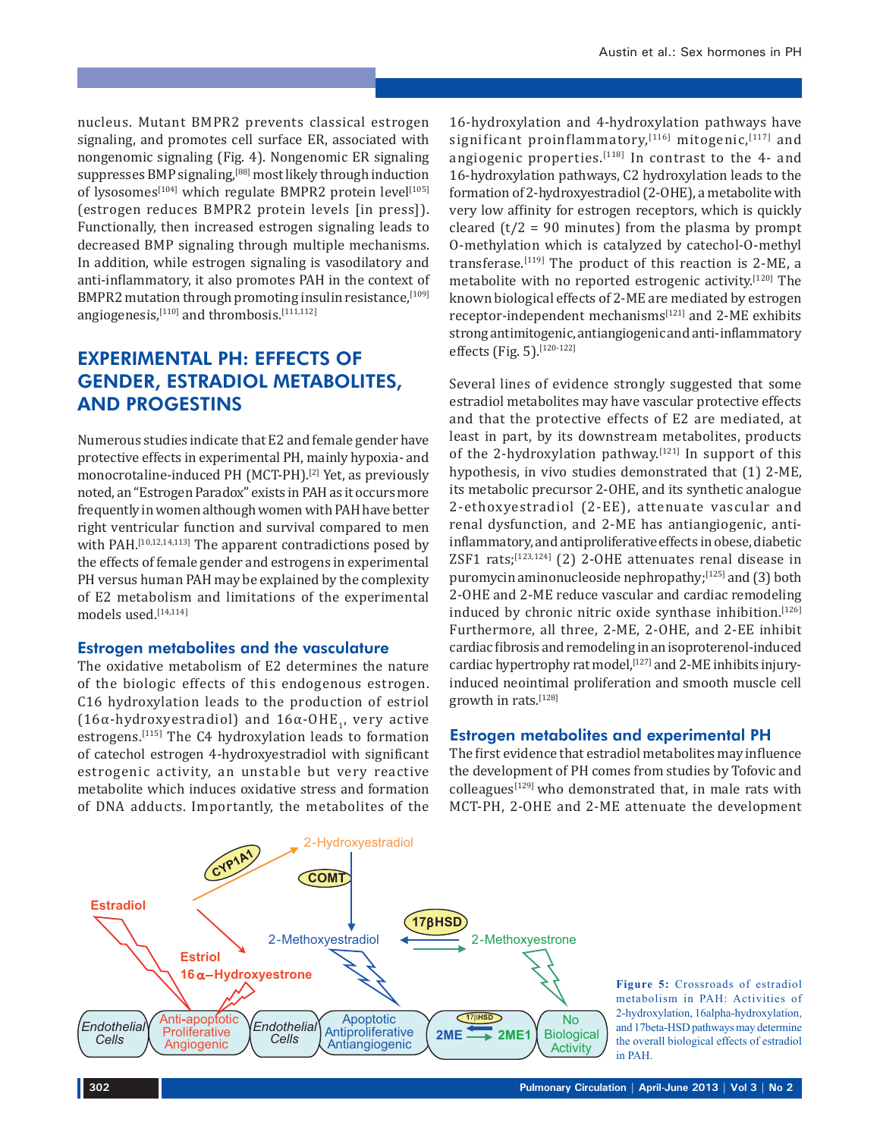nucleus. Mutant BMPR2 prevents classical estrogen signaling, and promotes cell surface ER, associated with nongenomic signaling (Fig. 4). Nongenomic ER signaling suppresses BMP signaling,<sup>[88]</sup> most likely through induction of lysosomes<sup>[104]</sup> which regulate BMPR2 protein level<sup>[105]</sup> (estrogen reduces BMPR2 protein levels [in press]). Functionally, then increased estrogen signaling leads to decreased BMP signaling through multiple mechanisms. In addition, while estrogen signaling is vasodilatory and anti-inflammatory, it also promotes PAH in the context of BMPR2 mutation through promoting insulin resistance,<sup>[109]</sup> angiogenesis,<sup>[110]</sup> and thrombosis.<sup>[111,112]</sup>

# EXPERIMENTAL PH: EFFECTS OF GENDER, ESTRADIOL METABOLITES, AND PROGESTINS

Numerous studies indicate that E2 and female gender have protective effects in experimental PH, mainly hypoxia- and monocrotaline-induced PH (MCT-PH).<sup>[2]</sup> Yet, as previously noted, an "Estrogen Paradox" exists in PAH as it occurs more frequently in women although women with PAH have better right ventricular function and survival compared to men with PAH.<sup>[10,12,14,113]</sup> The apparent contradictions posed by the effects of female gender and estrogens in experimental PH versus human PAH may be explained by the complexity of E2 metabolism and limitations of the experimental models used.[14,114]

#### Estrogen metabolites and the vasculature

The oxidative metabolism of E2 determines the nature of the biologic effects of this endogenous estrogen. C16 hydroxylation leads to the production of estriol ( $16\alpha$ -hydroxyestradiol) and  $16\alpha$ -OHE<sub>1</sub>, very active estrogens.[115] The C4 hydroxylation leads to formation of catechol estrogen 4-hydroxyestradiol with significant estrogenic activity, an unstable but very reactive metabolite which induces oxidative stress and formation of DNA adducts. Importantly, the metabolites of the

16-hydroxylation and 4-hydroxylation pathways have significant proinflammatory, $[116]$  mitogenic, $[117]$  and angiogenic properties. $[118]$  In contrast to the 4- and 16-hydroxylation pathways, C2 hydroxylation leads to the formation of 2-hydroxyestradiol (2-OHE), a metabolite with very low affinity for estrogen receptors, which is quickly cleared  $(t/2 = 90$  minutes) from the plasma by prompt O-methylation which is catalyzed by catechol-O-methyl transferase.[119] The product of this reaction is 2-ME, a metabolite with no reported estrogenic activity.[120] The known biological effects of 2-ME are mediated by estrogen receptor-independent mechanisms<sup>[121]</sup> and 2-ME exhibits strong antimitogenic, antiangiogenic and anti-inflammatory effects (Fig. 5).[120-122]

Several lines of evidence strongly suggested that some estradiol metabolites may have vascular protective effects and that the protective effects of E2 are mediated, at least in part, by its downstream metabolites, products of the 2-hydroxylation pathway.<sup>[121]</sup> In support of this hypothesis, in vivo studies demonstrated that (1) 2-ME, its metabolic precursor 2-OHE, and its synthetic analogue 2-ethoxyestradiol (2-EE), attenuate vascular and renal dysfunction, and 2-ME has antiangiogenic, antiinflammatory, and antiproliferative effects in obese, diabetic ZSF1 rats;[123,124] (2) 2-OHE attenuates renal disease in puromycin aminonucleoside nephropathy;[125] and (3) both 2-OHE and 2-ME reduce vascular and cardiac remodeling induced by chronic nitric oxide synthase inhibition.<sup>[126]</sup> Furthermore, all three, 2-ME, 2-OHE, and 2-EE inhibit cardiac fibrosis and remodeling in an isoproterenol-induced cardiac hypertrophy rat model, [127] and 2-ME inhibits injuryinduced neointimal proliferation and smooth muscle cell growth in rats.[128]

#### Estrogen metabolites and experimental PH

The first evidence that estradiol metabolites may influence the development of PH comes from studies by Tofovic and  $colleagues^{[129]}$  who demonstrated that, in male rats with MCT-PH, 2-OHE and 2-ME attenuate the development



**Figure 5:** Crossroads of estradiol metabolism in PAH: Activities of 2-hydroxylation, 16alpha-hydroxylation, and 17beta-HSD pathways may determine the overall biological effects of estradiol in PAH.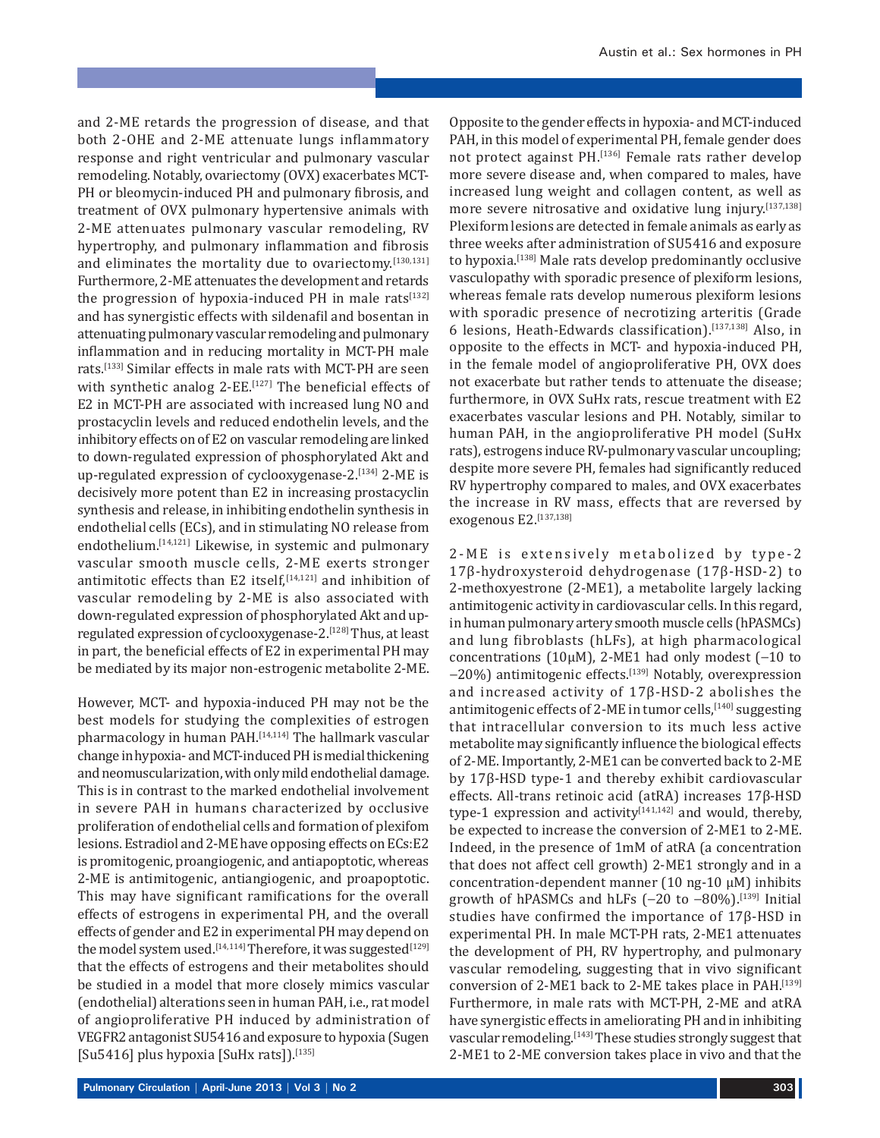and 2-ME retards the progression of disease, and that both 2-OHE and 2-ME attenuate lungs inflammatory response and right ventricular and pulmonary vascular remodeling. Notably, ovariectomy (OVX) exacerbates MCT-PH or bleomycin-induced PH and pulmonary fibrosis, and treatment of OVX pulmonary hypertensive animals with 2-ME attenuates pulmonary vascular remodeling, RV hypertrophy, and pulmonary inflammation and fibrosis and eliminates the mortality due to ovariectomy.[130,131] Furthermore, 2-ME attenuates the development and retards the progression of hypoxia-induced PH in male rats $[132]$ and has synergistic effects with sildenafil and bosentan in attenuating pulmonary vascular remodeling and pulmonary inflammation and in reducing mortality in MCT-PH male rats.[133] Similar effects in male rats with MCT-PH are seen with synthetic analog 2-EE.<sup>[127]</sup> The beneficial effects of E2 in MCT-PH are associated with increased lung NO and prostacyclin levels and reduced endothelin levels, and the inhibitory effects on of E2 on vascular remodeling are linked to down-regulated expression of phosphorylated Akt and up-regulated expression of cyclooxygenase-2.[134] 2-ME is decisively more potent than E2 in increasing prostacyclin synthesis and release, in inhibiting endothelin synthesis in endothelial cells (ECs), and in stimulating NO release from endothelium.[14,121] Likewise, in systemic and pulmonary vascular smooth muscle cells, 2-ME exerts stronger antimitotic effects than E2 itself, $[14,121]$  and inhibition of vascular remodeling by 2-ME is also associated with down-regulated expression of phosphorylated Akt and upregulated expression of cyclooxygenase-2.[128] Thus, at least in part, the beneficial effects of E2 in experimental PH may be mediated by its major non-estrogenic metabolite 2-ME.

However, MCT- and hypoxia-induced PH may not be the best models for studying the complexities of estrogen pharmacology in human PAH.<sup>[14,114]</sup> The hallmark vascular change in hypoxia- and MCT-induced PH is medial thickening and neomuscularization, with only mild endothelial damage. This is in contrast to the marked endothelial involvement in severe PAH in humans characterized by occlusive proliferation of endothelial cells and formation of plexifom lesions. Estradiol and 2-ME have opposing effects on ECs:E2 is promitogenic, proangiogenic, and antiapoptotic, whereas 2-ME is antimitogenic, antiangiogenic, and proapoptotic. This may have significant ramifications for the overall effects of estrogens in experimental PH, and the overall effects of gender and E2 in experimental PH may depend on the model system used.<sup>[14,114]</sup> Therefore, it was suggested<sup>[129]</sup> that the effects of estrogens and their metabolites should be studied in a model that more closely mimics vascular (endothelial) alterations seen in human PAH, i.e., rat model of angioproliferative PH induced by administration of VEGFR2 antagonist SU5416 and exposure to hypoxia (Sugen [Su5416] plus hypoxia [SuHx rats]].<sup>[135]</sup>

Opposite to the gender effects in hypoxia- and MCT-induced PAH, in this model of experimental PH, female gender does not protect against PH.<sup>[136]</sup> Female rats rather develop more severe disease and, when compared to males, have increased lung weight and collagen content, as well as more severe nitrosative and oxidative lung injury.<sup>[137,138]</sup> Plexiform lesions are detected in female animals as early as three weeks after administration of SU5416 and exposure to hypoxia.<sup>[138]</sup> Male rats develop predominantly occlusive vasculopathy with sporadic presence of plexiform lesions, whereas female rats develop numerous plexiform lesions with sporadic presence of necrotizing arteritis (Grade 6 lesions, Heath-Edwards classification).[137,138] Also, in opposite to the effects in MCT- and hypoxia-induced PH, in the female model of angioproliferative PH, OVX does not exacerbate but rather tends to attenuate the disease; furthermore, in OVX SuHx rats, rescue treatment with E2 exacerbates vascular lesions and PH. Notably, similar to human PAH, in the angioproliferative PH model (SuHx rats), estrogens induce RV-pulmonary vascular uncoupling; despite more severe PH, females had significantly reduced RV hypertrophy compared to males, and OVX exacerbates the increase in RV mass, effects that are reversed by exogenous E2.[137,138]

2-ME is extensively metabolized by type-2 17β-hydroxysteroid dehydrogenase (17β-HSD-2) to 2-methoxyestrone (2-ME1), a metabolite largely lacking antimitogenic activity in cardiovascular cells. In this regard, in human pulmonary artery smooth muscle cells (hPASMCs) and lung fibroblasts (hLFs), at high pharmacological concentrations (10 $\mu$ M), 2-ME1 had only modest (-10 to  $-20\%$ ) antimitogenic effects.<sup>[139]</sup> Notably, overexpression and increased activity of 17β-HSD-2 abolishes the antimitogenic effects of 2-ME in tumor cells, [140] suggesting that intracellular conversion to its much less active metabolite may significantly influence the biological effects of 2-ME. Importantly, 2-ME1 can be converted back to 2-ME by 17β-HSD type-1 and thereby exhibit cardiovascular effects. All-trans retinoic acid (atRA) increases 17β-HSD type-1 expression and activity $[141,142]$  and would, thereby, be expected to increase the conversion of 2-ME1 to 2-ME. Indeed, in the presence of 1mM of atRA (a concentration that does not affect cell growth) 2-ME1 strongly and in a concentration-dependent manner (10 ng-10  $\mu$ M) inhibits growth of hPASMCs and hLFs  $(-20 \text{ to } -80\%)$ .<sup>[139]</sup> Initial studies have confirmed the importance of 17β-HSD in experimental PH. In male MCT-PH rats, 2-ME1 attenuates the development of PH, RV hypertrophy, and pulmonary vascular remodeling, suggesting that in vivo significant conversion of 2-ME1 back to 2-ME takes place in PAH.[139] Furthermore, in male rats with MCT-PH, 2-ME and atRA have synergistic effects in ameliorating PH and in inhibiting vascular remodeling.<sup>[143]</sup> These studies strongly suggest that 2-ME1 to 2-ME conversion takes place in vivo and that the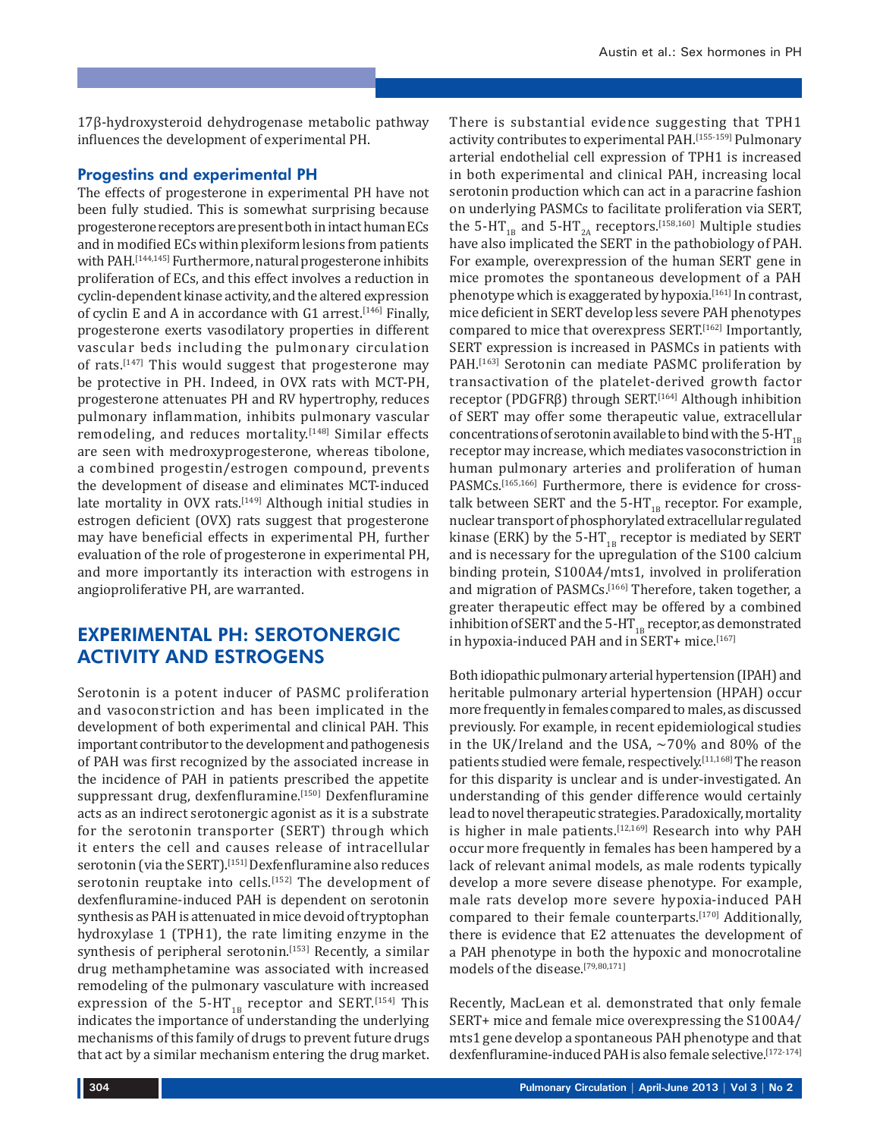17β-hydroxysteroid dehydrogenase metabolic pathway influences the development of experimental PH.

#### Progestins and experimental PH

The effects of progesterone in experimental PH have not been fully studied. This is somewhat surprising because progesterone receptors are present both in intact human ECs and in modified ECs within plexiform lesions from patients with PAH.<sup>[144,145]</sup> Furthermore, natural progesterone inhibits proliferation of ECs, and this effect involves a reduction in cyclin-dependent kinase activity, and the altered expression of cyclin E and A in accordance with G1 arrest.<sup>[146]</sup> Finally, progesterone exerts vasodilatory properties in different vascular beds including the pulmonary circulation of rats.<sup>[147]</sup> This would suggest that progesterone may be protective in PH. Indeed, in OVX rats with MCT-PH, progesterone attenuates PH and RV hypertrophy, reduces pulmonary inflammation, inhibits pulmonary vascular remodeling, and reduces mortality.<sup>[148]</sup> Similar effects are seen with medroxyprogesterone, whereas tibolone, a combined progestin/estrogen compound, prevents the development of disease and eliminates MCT-induced late mortality in OVX rats.<sup>[149]</sup> Although initial studies in estrogen deficient (OVX) rats suggest that progesterone may have beneficial effects in experimental PH, further evaluation of the role of progesterone in experimental PH, and more importantly its interaction with estrogens in angioproliferative PH, are warranted.

# EXPERIMENTAL PH: SEROTONERGIC ACTIVITY AND ESTROGENS

Serotonin is a potent inducer of PASMC proliferation and vasoconstriction and has been implicated in the development of both experimental and clinical PAH. This important contributor to the development and pathogenesis of PAH was first recognized by the associated increase in the incidence of PAH in patients prescribed the appetite suppressant drug, dexfenfluramine.<sup>[150]</sup> Dexfenfluramine acts as an indirect serotonergic agonist as it is a substrate for the serotonin transporter (SERT) through which it enters the cell and causes release of intracellular serotonin (via the SERT).<sup>[151]</sup> Dexfenfluramine also reduces serotonin reuptake into cells.<sup>[152]</sup> The development of dexfenfluramine-induced PAH is dependent on serotonin synthesis as PAH is attenuated in mice devoid of tryptophan hydroxylase 1 (TPH1), the rate limiting enzyme in the synthesis of peripheral serotonin.<sup>[153]</sup> Recently, a similar drug methamphetamine was associated with increased remodeling of the pulmonary vasculature with increased expression of the 5-HT<sub>1B</sub> receptor and SERT.<sup>[154]</sup> This indicates the importance of understanding the underlying mechanisms of this family of drugs to prevent future drugs that act by a similar mechanism entering the drug market.

There is substantial evidence suggesting that TPH1 activity contributes to experimental PAH.[155-159] Pulmonary arterial endothelial cell expression of TPH1 is increased in both experimental and clinical PAH, increasing local serotonin production which can act in a paracrine fashion on underlying PASMCs to facilitate proliferation via SERT, the 5-HT<sub>1B</sub> and 5-HT<sub>2A</sub> receptors.<sup>[158,160]</sup> Multiple studies have also implicated the SERT in the pathobiology of PAH. For example, overexpression of the human SERT gene in mice promotes the spontaneous development of a PAH phenotype which is exaggerated by hypoxia.[161] In contrast, mice deficient in SERT develop less severe PAH phenotypes compared to mice that overexpress SERT.[162] Importantly, SERT expression is increased in PASMCs in patients with PAH.<sup>[163]</sup> Serotonin can mediate PASMC proliferation by transactivation of the platelet-derived growth factor receptor (PDGFRβ) through SERT.<sup>[164]</sup> Although inhibition of SERT may offer some therapeutic value, extracellular concentrations of serotonin available to bind with the 5-HT<sub>1B</sub> receptor may increase, which mediates vasoconstriction in human pulmonary arteries and proliferation of human PASMCs.<sup>[165,166]</sup> Furthermore, there is evidence for crosstalk between SERT and the 5-HT $_{1B}$  receptor. For example, nuclear transport of phosphorylated extracellular regulated kinase (ERK) by the 5-HT<sub>1B</sub> receptor is mediated by SERT and is necessary for the upregulation of the S100 calcium binding protein, S100A4/mts1, involved in proliferation and migration of PASMCs.<sup>[166]</sup> Therefore, taken together, a greater therapeutic effect may be offered by a combined inhibition of SERT and the 5-HT $_{1B}$  receptor, as demonstrated in hypoxia-induced PAH and in SERT+ mice.[167]

Both idiopathic pulmonary arterial hypertension (IPAH) and heritable pulmonary arterial hypertension (HPAH) occur more frequently in females compared to males, as discussed previously. For example, in recent epidemiological studies in the UK/Ireland and the USA,  $\sim$ 70% and 80% of the patients studied were female, respectively.[11,168] The reason for this disparity is unclear and is under-investigated. An understanding of this gender difference would certainly lead to novel therapeutic strategies. Paradoxically, mortality is higher in male patients.<sup>[12,169]</sup> Research into why PAH occur more frequently in females has been hampered by a lack of relevant animal models, as male rodents typically develop a more severe disease phenotype. For example, male rats develop more severe hypoxia-induced PAH compared to their female counterparts.[170] Additionally, there is evidence that E2 attenuates the development of a PAH phenotype in both the hypoxic and monocrotaline models of the disease.[79,80,171]

Recently, MacLean et al. demonstrated that only female SERT+ mice and female mice overexpressing the S100A4/ mts1 gene develop a spontaneous PAH phenotype and that dexfenfluramine-induced PAH is also female selective.[172-174]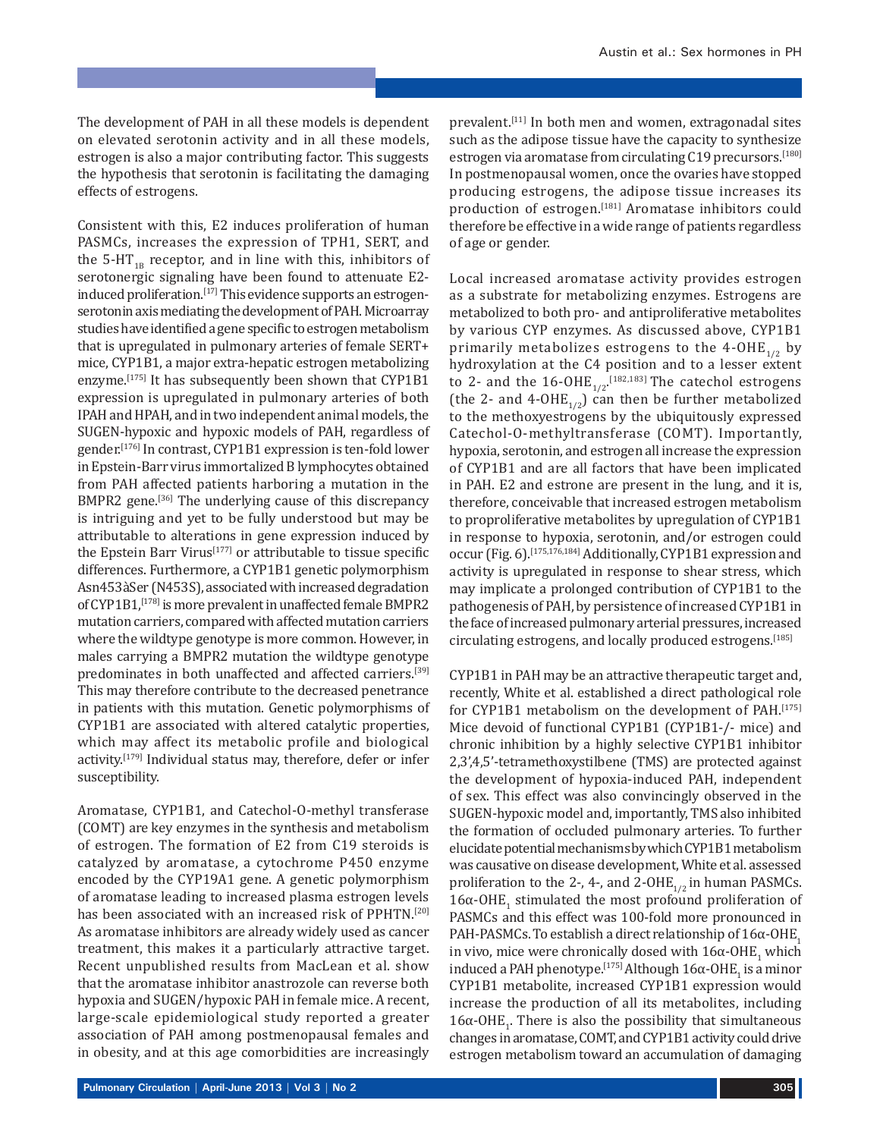The development of PAH in all these models is dependent on elevated serotonin activity and in all these models, estrogen is also a major contributing factor. This suggests the hypothesis that serotonin is facilitating the damaging effects of estrogens.

Consistent with this, E2 induces proliferation of human PASMCs, increases the expression of TPH1, SERT, and the 5-HT<sub>1B</sub> receptor, and in line with this, inhibitors of serotonergic signaling have been found to attenuate E2 induced proliferation.<sup>[17]</sup> This evidence supports an estrogenserotonin axis mediating the development of PAH. Microarray studies have identified a gene specific to estrogen metabolism that is upregulated in pulmonary arteries of female SERT+ mice, CYP1B1, a major extra-hepatic estrogen metabolizing enzyme.<sup>[175]</sup> It has subsequently been shown that CYP1B1 expression is upregulated in pulmonary arteries of both IPAH and HPAH, and in two independent animal models, the SUGEN-hypoxic and hypoxic models of PAH, regardless of gender.[176] In contrast, CYP1B1 expression is ten-fold lower in Epstein-Barr virus immortalized B lymphocytes obtained from PAH affected patients harboring a mutation in the BMPR2 gene.<sup>[36]</sup> The underlying cause of this discrepancy is intriguing and yet to be fully understood but may be attributable to alterations in gene expression induced by the Epstein Barr Virus<sup>[177]</sup> or attributable to tissue specific differences. Furthermore, a CYP1B1 genetic polymorphism Asn453àSer (N453S), associated with increased degradation of CYP1B1,<sup>[178]</sup> is more prevalent in unaffected female BMPR2 mutation carriers, compared with affected mutation carriers where the wildtype genotype is more common. However, in males carrying a BMPR2 mutation the wildtype genotype predominates in both unaffected and affected carriers.[39] This may therefore contribute to the decreased penetrance in patients with this mutation. Genetic polymorphisms of CYP1B1 are associated with altered catalytic properties, which may affect its metabolic profile and biological activity.<sup>[179]</sup> Individual status may, therefore, defer or infer susceptibility.

Aromatase, CYP1B1, and Catechol-O-methyl transferase (COMT) are key enzymes in the synthesis and metabolism of estrogen. The formation of E2 from C19 steroids is catalyzed by aromatase, a cytochrome P450 enzyme encoded by the CYP19A1 gene. A genetic polymorphism of aromatase leading to increased plasma estrogen levels has been associated with an increased risk of PPHTN.[20] As aromatase inhibitors are already widely used as cancer treatment, this makes it a particularly attractive target. Recent unpublished results from MacLean et al. show that the aromatase inhibitor anastrozole can reverse both hypoxia and SUGEN/hypoxic PAH in female mice. A recent, large-scale epidemiological study reported a greater association of PAH among postmenopausal females and in obesity, and at this age comorbidities are increasingly prevalent.[11] In both men and women, extragonadal sites such as the adipose tissue have the capacity to synthesize estrogen via aromatase from circulating C19 precursors.<sup>[180]</sup> In postmenopausal women, once the ovaries have stopped producing estrogens, the adipose tissue increases its production of estrogen.<sup>[181]</sup> Aromatase inhibitors could therefore be effective in a wide range of patients regardless of age or gender.

Local increased aromatase activity provides estrogen as a substrate for metabolizing enzymes. Estrogens are metabolized to both pro- and antiproliferative metabolites by various CYP enzymes. As discussed above, CYP1B1 primarily metabolizes estrogens to the 4-OHE<sub>1/2</sub> by hydroxylation at the C4 position and to a lesser extent to 2- and the  $16\text{-OHE}_{1/2}$ . [182,183] The catechol estrogens (the 2- and 4-OHE<sub>1/2</sub>) can then be further metabolized to the methoxyestrogens by the ubiquitously expressed Catechol-O-methyltransferase (COMT). Importantly, hypoxia, serotonin, and estrogen all increase the expression of CYP1B1 and are all factors that have been implicated in PAH. E2 and estrone are present in the lung, and it is, therefore, conceivable that increased estrogen metabolism to proproliferative metabolites by upregulation of CYP1B1 in response to hypoxia, serotonin, and/or estrogen could occur (Fig. 6).<sup>[175,176,184]</sup> Additionally, CYP1B1 expression and activity is upregulated in response to shear stress, which may implicate a prolonged contribution of CYP1B1 to the pathogenesis of PAH, by persistence of increased CYP1B1 in the face of increased pulmonary arterial pressures, increased circulating estrogens, and locally produced estrogens.[185]

CYP1B1 in PAH may be an attractive therapeutic target and, recently, White et al. established a direct pathological role for CYP1B1 metabolism on the development of PAH.[175] Mice devoid of functional CYP1B1 (CYP1B1-/- mice) and chronic inhibition by a highly selective CYP1B1 inhibitor 2,3',4,5'-tetramethoxystilbene (TMS) are protected against the development of hypoxia-induced PAH, independent of sex. This effect was also convincingly observed in the SUGEN-hypoxic model and, importantly, TMS also inhibited the formation of occluded pulmonary arteries. To further elucidate potential mechanisms by which CYP1B1 metabolism was causative on disease development, White et al. assessed proliferation to the 2-, 4-, and 2-OHE $_{1/2}$  in human PASMCs. 16α-OHE<sub>1</sub> stimulated the most profound proliferation of PASMCs and this effect was 100-fold more pronounced in PAH-PASMCs. To establish a direct relationship of 16α-OHE. in vivo, mice were chronically dosed with  $16\alpha$ -OHE<sub>1</sub> which induced a PAH phenotype.<sup>[175]</sup> Although  $16\alpha$ -OHE<sub>1</sub> is a minor CYP1B1 metabolite, increased CYP1B1 expression would increase the production of all its metabolites, including  $16\alpha$ -OHE<sub>1</sub>. There is also the possibility that simultaneous changes in aromatase, COMT, and CYP1B1 activity could drive estrogen metabolism toward an accumulation of damaging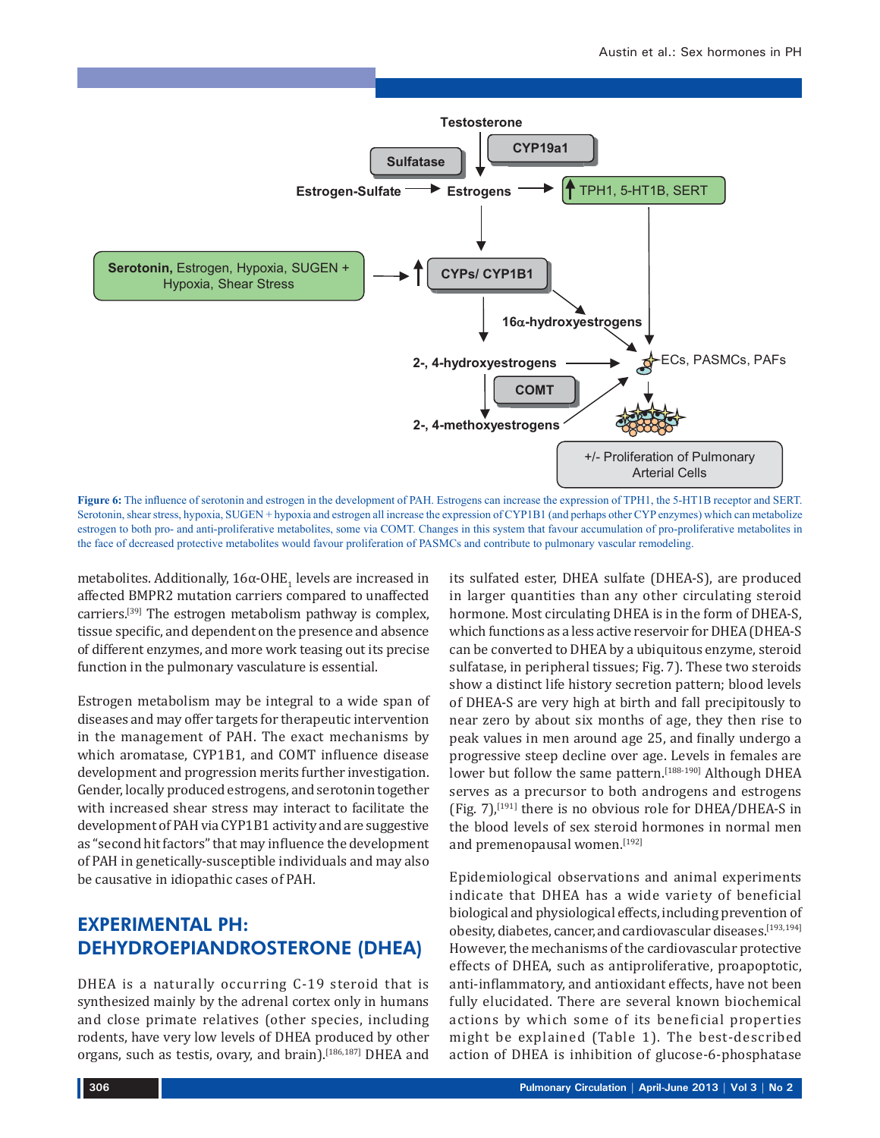

**Figure 6:** The influence of serotonin and estrogen in the development of PAH. Estrogens can increase the expression of TPH1, the 5-HT1B receptor and SERT. Serotonin, shear stress, hypoxia, SUGEN + hypoxia and estrogen all increase the expression of CYP1B1 (and perhaps other CYP enzymes) which can metabolize estrogen to both pro- and anti-proliferative metabolites, some via COMT. Changes in this system that favour accumulation of pro-proliferative metabolites in the face of decreased protective metabolites would favour proliferation of PASMCs and contribute to pulmonary vascular remodeling.

metabolites. Additionally,  $16\alpha$ -OHE<sub>1</sub> levels are increased in affected BMPR2 mutation carriers compared to unaffected carriers.[39] The estrogen metabolism pathway is complex, tissue specific, and dependent on the presence and absence of different enzymes, and more work teasing out its precise function in the pulmonary vasculature is essential.

Estrogen metabolism may be integral to a wide span of diseases and may offer targets for therapeutic intervention in the management of PAH. The exact mechanisms by which aromatase, CYP1B1, and COMT influence disease development and progression merits further investigation. Gender, locally produced estrogens, and serotonin together with increased shear stress may interact to facilitate the development of PAH via CYP1B1 activity and are suggestive as "second hit factors" that may influence the development of PAH in genetically-susceptible individuals and may also be causative in idiopathic cases of PAH.

# EXPERIMENTAL PH: DEHYDROEPIANDROSTERONE (DHEA)

DHEA is a naturally occurring C-19 steroid that is synthesized mainly by the adrenal cortex only in humans and close primate relatives (other species, including rodents, have very low levels of DHEA produced by other organs, such as testis, ovary, and brain).<sup>[186,187]</sup> DHEA and

its sulfated ester, DHEA sulfate (DHEA-S), are produced in larger quantities than any other circulating steroid hormone. Most circulating DHEA is in the form of DHEA-S, which functions as a less active reservoir for DHEA (DHEA-S can be converted to DHEA by a ubiquitous enzyme, steroid sulfatase, in peripheral tissues; Fig. 7). These two steroids show a distinct life history secretion pattern; blood levels of DHEA-S are very high at birth and fall precipitously to near zero by about six months of age, they then rise to peak values in men around age 25, and finally undergo a progressive steep decline over age. Levels in females are lower but follow the same pattern.<sup>[188-190]</sup> Although DHEA serves as a precursor to both androgens and estrogens (Fig. 7),[191] there is no obvious role for DHEA/DHEA-S in the blood levels of sex steroid hormones in normal men and premenopausal women.[192]

Epidemiological observations and animal experiments indicate that DHEA has a wide variety of beneficial biological and physiological effects, including prevention of obesity, diabetes, cancer, and cardiovascular diseases.[193,194] However, the mechanisms of the cardiovascular protective effects of DHEA, such as antiproliferative, proapoptotic, anti-inflammatory, and antioxidant effects, have not been fully elucidated. There are several known biochemical actions by which some of its beneficial properties might be explained (Table 1). The best-described action of DHEA is inhibition of glucose-6-phosphatase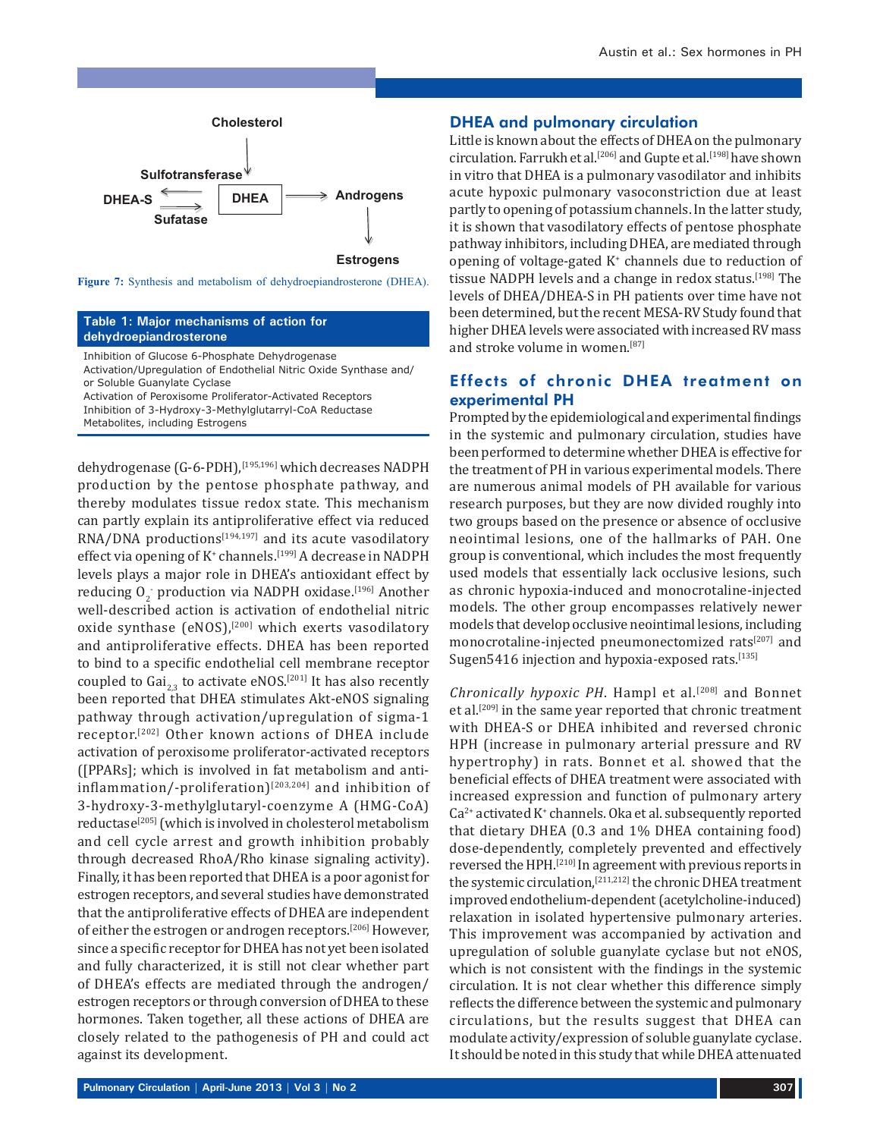

**Figure 7:** Synthesis and metabolism of dehydroepiandrosterone (DHEA).

#### **Table 1: Major mechanisms of action for dehydroepiandrosterone**

Inhibition of Glucose 6-Phosphate Dehydrogenase Activation/Upregulation of Endothelial Nitric Oxide Synthase and/ or Soluble Guanylate Cyclase Activation of Peroxisome Proliferator-Activated Receptors Inhibition of 3-Hydroxy-3-Methylglutarryl-CoA Reductase Metabolites, including Estrogens

dehydrogenase (G-6-PDH),<sup>[195,196]</sup> which decreases NADPH production by the pentose phosphate pathway, and thereby modulates tissue redox state. This mechanism can partly explain its antiproliferative effect via reduced  $RNA/DNA$  productions<sup>[194,197]</sup> and its acute vasodilatory effect via opening of K<sup>+</sup> channels.<sup>[199]</sup> A decrease in NADPH levels plays a major role in DHEA's antioxidant effect by reducing O<sub>2</sub> production via NADPH oxidase.<sup>[196]</sup> Another well-described action is activation of endothelial nitric oxide synthase (eNOS),<sup>[200]</sup> which exerts vasodilatory and antiproliferative effects. DHEA has been reported to bind to a specific endothelial cell membrane receptor coupled to Gai<sub>23</sub> to activate eNOS.<sup>[201]</sup> It has also recently been reported that DHEA stimulates Akt-eNOS signaling pathway through activation/upregulation of sigma-1 receptor.[202] Other known actions of DHEA include activation of peroxisome proliferator-activated receptors ([PPARs]; which is involved in fat metabolism and antiinflammation/-proliferation)[203,204] and inhibition of 3-hydroxy-3-methylglutaryl-coenzyme A (HMG-CoA) reductase<sup>[205]</sup> (which is involved in cholesterol metabolism and cell cycle arrest and growth inhibition probably through decreased RhoA/Rho kinase signaling activity). Finally, it has been reported that DHEA is a poor agonist for estrogen receptors, and several studies have demonstrated that the antiproliferative effects of DHEA are independent of either the estrogen or androgen receptors.[206] However, since a specific receptor for DHEA has not yet been isolated and fully characterized, it is still not clear whether part of DHEA's effects are mediated through the androgen/ estrogen receptors or through conversion of DHEA to these hormones. Taken together, all these actions of DHEA are closely related to the pathogenesis of PH and could act against its development.

#### DHEA and pulmonary circulation

Little is known about the effects of DHEA on the pulmonary circulation. Farrukh et al.<sup>[206]</sup> and Gupte et al.<sup>[198]</sup> have shown in vitro that DHEA is a pulmonary vasodilator and inhibits acute hypoxic pulmonary vasoconstriction due at least partly to opening of potassium channels. In the latter study, it is shown that vasodilatory effects of pentose phosphate pathway inhibitors, including DHEA, are mediated through opening of voltage-gated K<sup>+</sup> channels due to reduction of tissue NADPH levels and a change in redox status.<sup>[198]</sup> The levels of DHEA/DHEA-S in PH patients over time have not been determined, but the recent MESA-RV Study found that higher DHEA levels were associated with increased RV mass and stroke volume in women.[87]

## Effects of chronic DHEA treatment on experimental PH

Prompted by the epidemiological and experimental findings in the systemic and pulmonary circulation, studies have been performed to determine whether DHEA is effective for the treatment of PH in various experimental models. There are numerous animal models of PH available for various research purposes, but they are now divided roughly into two groups based on the presence or absence of occlusive neointimal lesions, one of the hallmarks of PAH. One group is conventional, which includes the most frequently used models that essentially lack occlusive lesions, such as chronic hypoxia-induced and monocrotaline-injected models. The other group encompasses relatively newer models that develop occlusive neointimal lesions, including monocrotaline-injected pneumonectomized rats<sup>[207]</sup> and Sugen5416 injection and hypoxia-exposed rats.<sup>[135]</sup>

*Chronically hypoxic PH.* Hampl et al.<sup>[208]</sup> and Bonnet et al.<sup>[209]</sup> in the same year reported that chronic treatment with DHEA-S or DHEA inhibited and reversed chronic HPH (increase in pulmonary arterial pressure and RV hypertrophy) in rats. Bonnet et al. showed that the beneficial effects of DHEA treatment were associated with increased expression and function of pulmonary artery  $Ca<sup>2+</sup>$  activated  $K<sup>+</sup>$  channels. Oka et al. subsequently reported that dietary DHEA (0.3 and 1% DHEA containing food) dose-dependently, completely prevented and effectively reversed the HPH.[210] In agreement with previous reports in the systemic circulation,[211,212] the chronic DHEA treatment improved endothelium-dependent (acetylcholine-induced) relaxation in isolated hypertensive pulmonary arteries. This improvement was accompanied by activation and upregulation of soluble guanylate cyclase but not eNOS, which is not consistent with the findings in the systemic circulation. It is not clear whether this difference simply reflects the difference between the systemic and pulmonary circulations, but the results suggest that DHEA can modulate activity/expression of soluble guanylate cyclase. It should be noted in this study that while DHEA attenuated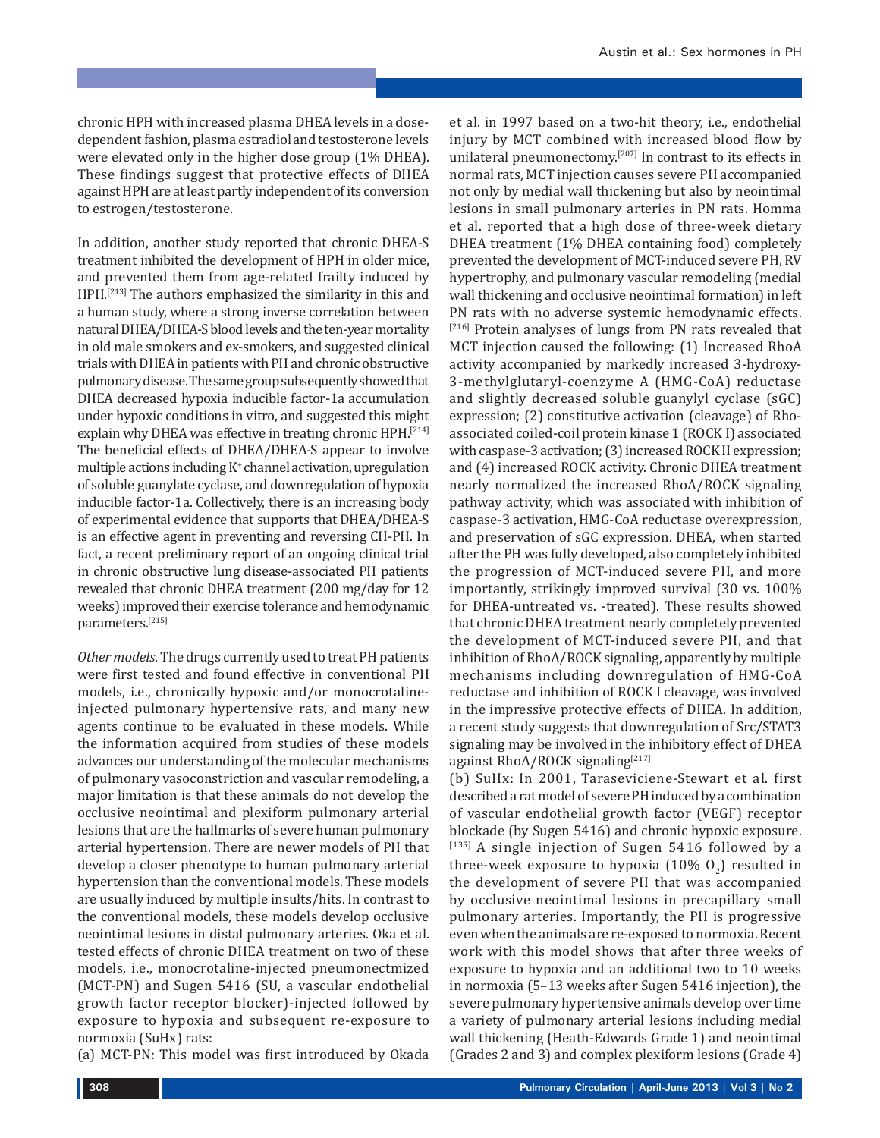chronic HPH with increased plasma DHEA levels in a dosedependent fashion, plasma estradiol and testosterone levels were elevated only in the higher dose group (1% DHEA). These findings suggest that protective effects of DHEA against HPH are at least partly independent of its conversion to estrogen/testosterone.

In addition, another study reported that chronic DHEA-S treatment inhibited the development of HPH in older mice, and prevented them from age-related frailty induced by HPH.[213] The authors emphasized the similarity in this and a human study, where a strong inverse correlation between natural DHEA/DHEA-S blood levels and the ten-year mortality in old male smokers and ex-smokers, and suggested clinical trials with DHEA in patients with PH and chronic obstructive pulmonary disease. The same group subsequently showed that DHEA decreased hypoxia inducible factor-1a accumulation under hypoxic conditions in vitro, and suggested this might explain why DHEA was effective in treating chronic HPH.<sup>[214]</sup> The beneficial effects of DHEA/DHEA-S appear to involve multiple actions including K<sup>+</sup> channel activation, upregulation of soluble guanylate cyclase, and downregulation of hypoxia inducible factor-1a. Collectively, there is an increasing body of experimental evidence that supports that DHEA/DHEA-S is an effective agent in preventing and reversing CH-PH. In fact, a recent preliminary report of an ongoing clinical trial in chronic obstructive lung disease-associated PH patients revealed that chronic DHEA treatment (200 mg/day for 12 weeks) improved their exercise tolerance and hemodynamic parameters.[215]

*Other models*. The drugs currently used to treat PH patients were first tested and found effective in conventional PH models, i.e., chronically hypoxic and/or monocrotalineinjected pulmonary hypertensive rats, and many new agents continue to be evaluated in these models. While the information acquired from studies of these models advances our understanding of the molecular mechanisms of pulmonary vasoconstriction and vascular remodeling, a major limitation is that these animals do not develop the occlusive neointimal and plexiform pulmonary arterial lesions that are the hallmarks of severe human pulmonary arterial hypertension. There are newer models of PH that develop a closer phenotype to human pulmonary arterial hypertension than the conventional models. These models are usually induced by multiple insults/hits. In contrast to the conventional models, these models develop occlusive neointimal lesions in distal pulmonary arteries. Oka et al. tested effects of chronic DHEA treatment on two of these models, i.e., monocrotaline-injected pneumonectmized (MCT-PN) and Sugen 5416 (SU, a vascular endothelial growth factor receptor blocker)-injected followed by exposure to hypoxia and subsequent re-exposure to normoxia (SuHx) rats:

(a) MCT-PN: This model was first introduced by Okada

et al. in 1997 based on a two-hit theory, i.e., endothelial injury by MCT combined with increased blood flow by unilateral pneumonectomy.[207] In contrast to its effects in normal rats, MCT injection causes severe PH accompanied not only by medial wall thickening but also by neointimal lesions in small pulmonary arteries in PN rats. Homma et al. reported that a high dose of three-week dietary DHEA treatment (1% DHEA containing food) completely prevented the development of MCT-induced severe PH, RV hypertrophy, and pulmonary vascular remodeling (medial wall thickening and occlusive neointimal formation) in left PN rats with no adverse systemic hemodynamic effects. [216] Protein analyses of lungs from PN rats revealed that MCT injection caused the following: (1) Increased RhoA activity accompanied by markedly increased 3-hydroxy-3-methylglutaryl-coenzyme A (HMG-CoA) reductase and slightly decreased soluble guanylyl cyclase (sGC) expression; (2) constitutive activation (cleavage) of Rhoassociated coiled-coil protein kinase 1 (ROCK I) associated with caspase-3 activation; (3) increased ROCK II expression; and (4) increased ROCK activity. Chronic DHEA treatment nearly normalized the increased RhoA/ROCK signaling pathway activity, which was associated with inhibition of caspase-3 activation, HMG-CoA reductase overexpression, and preservation of sGC expression. DHEA, when started after the PH was fully developed, also completely inhibited the progression of MCT-induced severe PH, and more importantly, strikingly improved survival (30 vs. 100% for DHEA-untreated vs. -treated). These results showed that chronic DHEA treatment nearly completely prevented the development of MCT-induced severe PH, and that inhibition of RhoA/ROCK signaling, apparently by multiple mechanisms including downregulation of HMG-CoA reductase and inhibition of ROCK I cleavage, was involved in the impressive protective effects of DHEA. In addition, a recent study suggests that downregulation of Src/STAT3 signaling may be involved in the inhibitory effect of DHEA against RhoA/ROCK signaling[217]

(b) SuHx: In 2001, Taraseviciene-Stewart et al. first described a rat model of severe PH induced by a combination of vascular endothelial growth factor (VEGF) receptor blockade (by Sugen 5416) and chronic hypoxic exposure.  $[135]$  A single injection of Sugen 5416 followed by a three-week exposure to hypoxia  $(10\% \ 0_2)$  resulted in the development of severe PH that was accompanied by occlusive neointimal lesions in precapillary small pulmonary arteries. Importantly, the PH is progressive even when the animals are re-exposed to normoxia. Recent work with this model shows that after three weeks of exposure to hypoxia and an additional two to 10 weeks in normoxia (5–13 weeks after Sugen 5416 injection), the severe pulmonary hypertensive animals develop over time a variety of pulmonary arterial lesions including medial wall thickening (Heath-Edwards Grade 1) and neointimal (Grades 2 and 3) and complex plexiform lesions (Grade 4)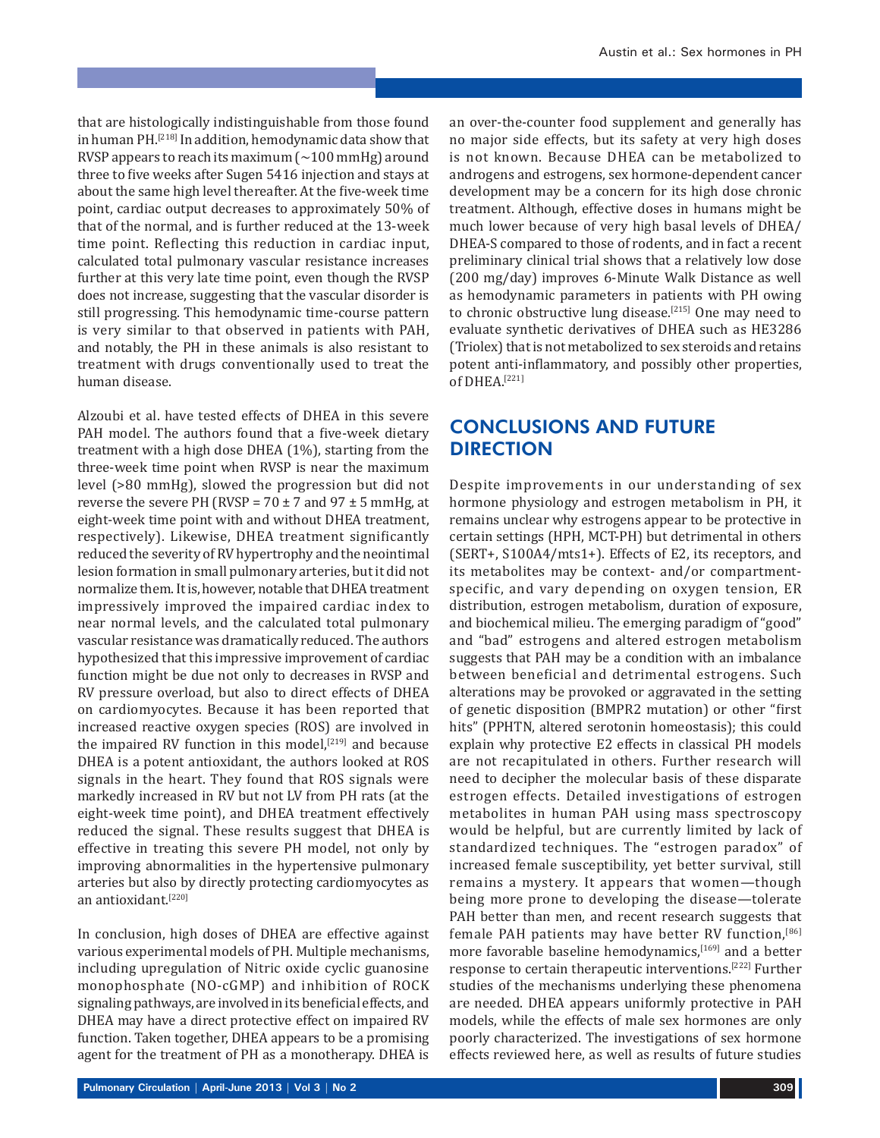that are histologically indistinguishable from those found in human PH.[218] In addition, hemodynamic data show that RVSP appears to reach its maximum  $($  ~100 mmHg) around three to five weeks after Sugen 5416 injection and stays at about the same high level thereafter. At the five-week time point, cardiac output decreases to approximately 50% of that of the normal, and is further reduced at the 13-week time point. Reflecting this reduction in cardiac input, calculated total pulmonary vascular resistance increases further at this very late time point, even though the RVSP does not increase, suggesting that the vascular disorder is still progressing. This hemodynamic time-course pattern is very similar to that observed in patients with PAH, and notably, the PH in these animals is also resistant to treatment with drugs conventionally used to treat the human disease.

Alzoubi et al. have tested effects of DHEA in this severe PAH model. The authors found that a five-week dietary treatment with a high dose DHEA (1%), starting from the three-week time point when RVSP is near the maximum level (>80 mmHg), slowed the progression but did not reverse the severe PH (RVSP =  $70 \pm 7$  and  $97 \pm 5$  mmHg, at eight-week time point with and without DHEA treatment, respectively). Likewise, DHEA treatment significantly reduced the severity of RV hypertrophy and the neointimal lesion formation in small pulmonary arteries, but it did not normalize them. It is, however, notable that DHEA treatment impressively improved the impaired cardiac index to near normal levels, and the calculated total pulmonary vascular resistance was dramatically reduced. The authors hypothesized that this impressive improvement of cardiac function might be due not only to decreases in RVSP and RV pressure overload, but also to direct effects of DHEA on cardiomyocytes. Because it has been reported that increased reactive oxygen species (ROS) are involved in the impaired RV function in this model, $[219]$  and because DHEA is a potent antioxidant, the authors looked at ROS signals in the heart. They found that ROS signals were markedly increased in RV but not LV from PH rats (at the eight-week time point), and DHEA treatment effectively reduced the signal. These results suggest that DHEA is effective in treating this severe PH model, not only by improving abnormalities in the hypertensive pulmonary arteries but also by directly protecting cardiomyocytes as an antioxidant.[220]

In conclusion, high doses of DHEA are effective against various experimental models of PH. Multiple mechanisms, including upregulation of Nitric oxide cyclic guanosine monophosphate (NO-cGMP) and inhibition of ROCK signaling pathways, are involved in its beneficial effects, and DHEA may have a direct protective effect on impaired RV function. Taken together, DHEA appears to be a promising agent for the treatment of PH as a monotherapy. DHEA is

an over-the-counter food supplement and generally has no major side effects, but its safety at very high doses is not known. Because DHEA can be metabolized to androgens and estrogens, sex hormone-dependent cancer development may be a concern for its high dose chronic treatment. Although, effective doses in humans might be much lower because of very high basal levels of DHEA/ DHEA-S compared to those of rodents, and in fact a recent preliminary clinical trial shows that a relatively low dose (200 mg/day) improves 6-Minute Walk Distance as well as hemodynamic parameters in patients with PH owing to chronic obstructive lung disease.[215] One may need to evaluate synthetic derivatives of DHEA such as HE3286 (Triolex) that is not metabolized to sex steroids and retains potent anti-inflammatory, and possibly other properties, of DHEA.[221]

# CONCLUSIONS AND FUTURE **DIRECTION**

Despite improvements in our understanding of sex hormone physiology and estrogen metabolism in PH, it remains unclear why estrogens appear to be protective in certain settings (HPH, MCT-PH) but detrimental in others (SERT+, S100A4/mts1+). Effects of E2, its receptors, and its metabolites may be context- and/or compartmentspecific, and vary depending on oxygen tension, ER distribution, estrogen metabolism, duration of exposure, and biochemical milieu. The emerging paradigm of "good" and "bad" estrogens and altered estrogen metabolism suggests that PAH may be a condition with an imbalance between beneficial and detrimental estrogens. Such alterations may be provoked or aggravated in the setting of genetic disposition (BMPR2 mutation) or other "first hits" (PPHTN, altered serotonin homeostasis); this could explain why protective E2 effects in classical PH models are not recapitulated in others. Further research will need to decipher the molecular basis of these disparate estrogen effects. Detailed investigations of estrogen metabolites in human PAH using mass spectroscopy would be helpful, but are currently limited by lack of standardized techniques. The "estrogen paradox" of increased female susceptibility, yet better survival, still remains a mystery. It appears that women—though being more prone to developing the disease—tolerate PAH better than men, and recent research suggests that female PAH patients may have better RV function,[86] more favorable baseline hemodynamics,<sup>[169]</sup> and a better response to certain therapeutic interventions.[222] Further studies of the mechanisms underlying these phenomena are needed. DHEA appears uniformly protective in PAH models, while the effects of male sex hormones are only poorly characterized. The investigations of sex hormone effects reviewed here, as well as results of future studies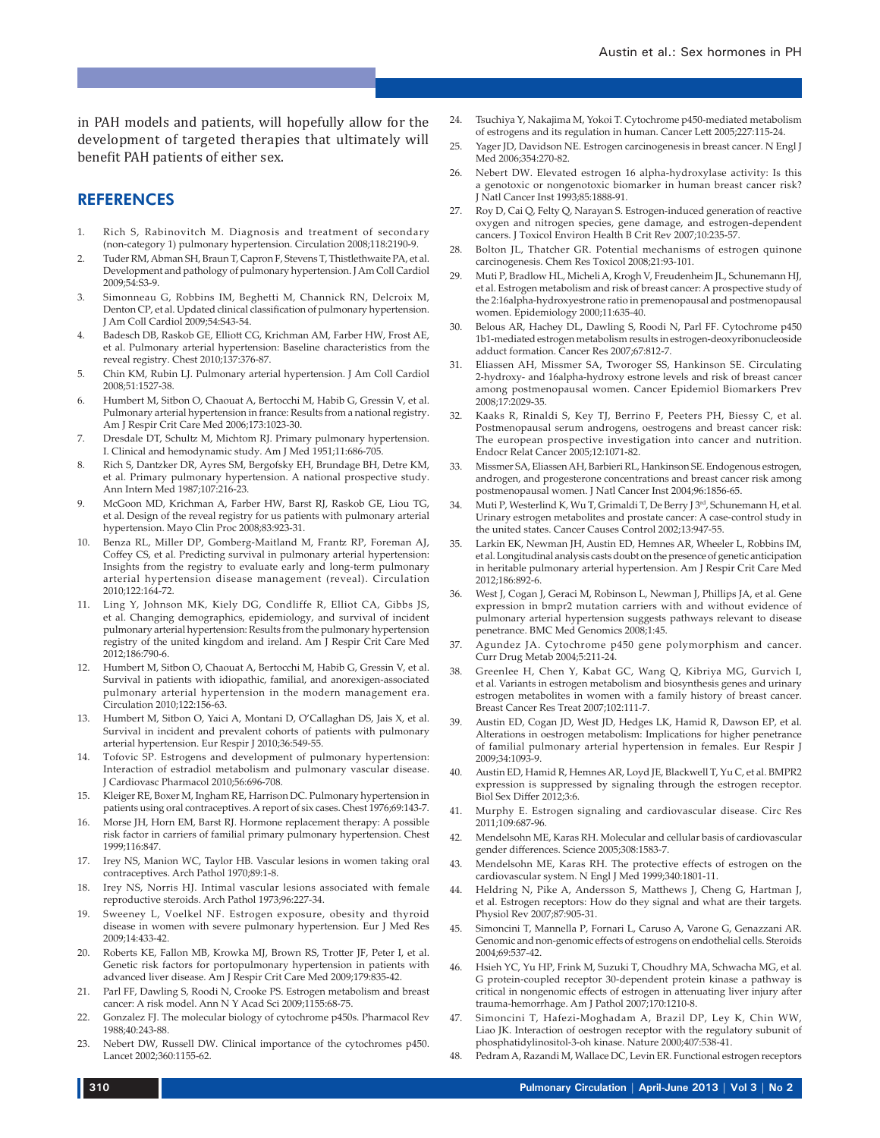in PAH models and patients, will hopefully allow for the development of targeted therapies that ultimately will benefit PAH patients of either sex.

#### **REFERENCES**

- 1. Rich S, Rabinovitch M. Diagnosis and treatment of secondary (non-category 1) pulmonary hypertension. Circulation 2008;118:2190-9.
- 2. Tuder RM, Abman SH, Braun T, Capron F, Stevens T, Thistlethwaite PA, et al. Development and pathology of pulmonary hypertension. J Am Coll Cardiol 2009;54:S3-9.
- 3. Simonneau G, Robbins IM, Beghetti M, Channick RN, Delcroix M, Denton CP, et al. Updated clinical classification of pulmonary hypertension. J Am Coll Cardiol 2009;54:S43-54.
- 4. Badesch DB, Raskob GE, Elliott CG, Krichman AM, Farber HW, Frost AE, et al. Pulmonary arterial hypertension: Baseline characteristics from the reveal registry. Chest 2010;137:376-87.
- 5. Chin KM, Rubin LJ. Pulmonary arterial hypertension. J Am Coll Cardiol 2008;51:1527-38.
- Humbert M, Sitbon O, Chaouat A, Bertocchi M, Habib G, Gressin V, et al. Pulmonary arterial hypertension in france: Results from a national registry. Am J Respir Crit Care Med 2006;173:1023-30.
- 7. Dresdale DT, Schultz M, Michtom RJ. Primary pulmonary hypertension. I. Clinical and hemodynamic study. Am J Med 1951;11:686-705.
- Rich S, Dantzker DR, Ayres SM, Bergofsky EH, Brundage BH, Detre KM, et al. Primary pulmonary hypertension. A national prospective study. Ann Intern Med 1987;107:216-23.
- McGoon MD, Krichman A, Farber HW, Barst RJ, Raskob GE, Liou TG, et al. Design of the reveal registry for us patients with pulmonary arterial hypertension. Mayo Clin Proc 2008;83:923-31.
- Benza RL, Miller DP, Gomberg-Maitland M, Frantz RP, Foreman AJ, Coffey CS, et al. Predicting survival in pulmonary arterial hypertension: Insights from the registry to evaluate early and long-term pulmonary arterial hypertension disease management (reveal). Circulation 2010;122:164-72.
- 11. Ling Y, Johnson MK, Kiely DG, Condliffe R, Elliot CA, Gibbs JS, et al. Changing demographics, epidemiology, and survival of incident pulmonary arterial hypertension: Results from the pulmonary hypertension registry of the united kingdom and ireland. Am J Respir Crit Care Med 2012;186:790-6.
- 12. Humbert M, Sitbon O, Chaouat A, Bertocchi M, Habib G, Gressin V, et al. Survival in patients with idiopathic, familial, and anorexigen-associated pulmonary arterial hypertension in the modern management era. Circulation 2010;122:156-63.
- 13. Humbert M, Sitbon O, Yaici A, Montani D, O'Callaghan DS, Jais X, et al. Survival in incident and prevalent cohorts of patients with pulmonary arterial hypertension. Eur Respir J 2010;36:549-55.
- 14. Tofovic SP. Estrogens and development of pulmonary hypertension: Interaction of estradiol metabolism and pulmonary vascular disease. J Cardiovasc Pharmacol 2010;56:696-708.
- 15. Kleiger RE, Boxer M, Ingham RE, Harrison DC. Pulmonary hypertension in patients using oral contraceptives. A report of six cases. Chest 1976;69:143-7.
- 16. Morse JH, Horn EM, Barst RJ. Hormone replacement therapy: A possible risk factor in carriers of familial primary pulmonary hypertension. Chest 1999;116:847.
- 17. Irey NS, Manion WC, Taylor HB. Vascular lesions in women taking oral contraceptives. Arch Pathol 1970;89:1-8.
- 18. Irey NS, Norris HJ. Intimal vascular lesions associated with female reproductive steroids. Arch Pathol 1973;96:227-34.
- 19. Sweeney L, Voelkel NF. Estrogen exposure, obesity and thyroid disease in women with severe pulmonary hypertension. Eur J Med Res 2009;14:433-42.
- 20. Roberts KE, Fallon MB, Krowka MJ, Brown RS, Trotter JF, Peter I, et al. Genetic risk factors for portopulmonary hypertension in patients with advanced liver disease. Am J Respir Crit Care Med 2009;179:835-42.
- 21. Parl FF, Dawling S, Roodi N, Crooke PS. Estrogen metabolism and breast cancer: A risk model. Ann N Y Acad Sci 2009;1155:68-75.
- 22. Gonzalez FJ. The molecular biology of cytochrome p450s. Pharmacol Rev 1988;40:243-88.
- 23. Nebert DW, Russell DW. Clinical importance of the cytochromes p450. Lancet 2002;360:1155-62.
- 24. Tsuchiya Y, Nakajima M, Yokoi T. Cytochrome p450-mediated metabolism of estrogens and its regulation in human. Cancer Lett 2005;227:115-24.
- 25. Yager JD, Davidson NE. Estrogen carcinogenesis in breast cancer. N Engl J Med 2006;354:270-82.
- 26. Nebert DW. Elevated estrogen 16 alpha-hydroxylase activity: Is this a genotoxic or nongenotoxic biomarker in human breast cancer risk? J Natl Cancer Inst 1993;85:1888-91.
- 27. Roy D, Cai Q, Felty Q, Narayan S. Estrogen-induced generation of reactive oxygen and nitrogen species, gene damage, and estrogen-dependent cancers. J Toxicol Environ Health B Crit Rev 2007;10:235-57.
- Bolton JL, Thatcher GR. Potential mechanisms of estrogen quinone carcinogenesis. Chem Res Toxicol 2008;21:93-101.
- 29. Muti P, Bradlow HL, Micheli A, Krogh V, Freudenheim JL, Schunemann HJ, et al. Estrogen metabolism and risk of breast cancer: A prospective study of the 2:16alpha-hydroxyestrone ratio in premenopausal and postmenopausal women. Epidemiology 2000;11:635-40.
- 30. Belous AR, Hachey DL, Dawling S, Roodi N, Parl FF. Cytochrome p450 1b1-mediated estrogen metabolism results in estrogen-deoxyribonucleoside adduct formation. Cancer Res 2007;67:812-7.
- 31. Eliassen AH, Missmer SA, Tworoger SS, Hankinson SE. Circulating 2-hydroxy- and 16alpha-hydroxy estrone levels and risk of breast cancer among postmenopausal women. Cancer Epidemiol Biomarkers Prev 2008;17:2029-35.
- 32. Kaaks R, Rinaldi S, Key TJ, Berrino F, Peeters PH, Biessy C, et al. Postmenopausal serum androgens, oestrogens and breast cancer risk: The european prospective investigation into cancer and nutrition. Endocr Relat Cancer 2005;12:1071-82.
- 33. Missmer SA, Eliassen AH, Barbieri RL, Hankinson SE. Endogenous estrogen, androgen, and progesterone concentrations and breast cancer risk among postmenopausal women. J Natl Cancer Inst 2004;96:1856-65.
- 34. Muti P, Westerlind K, Wu T, Grimaldi T, De Berry J 3rd, Schunemann H, et al. Urinary estrogen metabolites and prostate cancer: A case-control study in the united states. Cancer Causes Control 2002;13:947-55.
- 35. Larkin EK, Newman JH, Austin ED, Hemnes AR, Wheeler L, Robbins IM, et al. Longitudinal analysis casts doubt on the presence of genetic anticipation in heritable pulmonary arterial hypertension. Am J Respir Crit Care Med 2012;186:892-6.
- West J, Cogan J, Geraci M, Robinson L, Newman J, Phillips JA, et al. Gene expression in bmpr2 mutation carriers with and without evidence of pulmonary arterial hypertension suggests pathways relevant to disease penetrance. BMC Med Genomics 2008;1:45.
- 37. Agundez JA. Cytochrome p450 gene polymorphism and cancer. Curr Drug Metab 2004;5:211-24.
- 38. Greenlee H, Chen Y, Kabat GC, Wang Q, Kibriya MG, Gurvich I, et al. Variants in estrogen metabolism and biosynthesis genes and urinary estrogen metabolites in women with a family history of breast cancer. Breast Cancer Res Treat 2007;102:111-7.
- 39. Austin ED, Cogan JD, West JD, Hedges LK, Hamid R, Dawson EP, et al. Alterations in oestrogen metabolism: Implications for higher penetrance of familial pulmonary arterial hypertension in females. Eur Respir J 2009;34:1093-9.
- 40. Austin ED, Hamid R, Hemnes AR, Loyd JE, Blackwell T, Yu C, et al. BMPR2 expression is suppressed by signaling through the estrogen receptor. Biol Sex Differ 2012;3:6.
- 41. Murphy E. Estrogen signaling and cardiovascular disease. Circ Res 2011;109:687-96.
- 42. Mendelsohn ME, Karas RH. Molecular and cellular basis of cardiovascular gender differences. Science 2005;308:1583-7.
- 43. Mendelsohn ME, Karas RH. The protective effects of estrogen on the cardiovascular system. N Engl J Med 1999;340:1801-11.
- 44. Heldring N, Pike A, Andersson S, Matthews J, Cheng G, Hartman J, et al. Estrogen receptors: How do they signal and what are their targets. Physiol Rev 2007;87:905-31.
- 45. Simoncini T, Mannella P, Fornari L, Caruso A, Varone G, Genazzani AR. Genomic and non-genomic effects of estrogens on endothelial cells. Steroids 2004;69:537-42.
- 46. Hsieh YC, Yu HP, Frink M, Suzuki T, Choudhry MA, Schwacha MG, et al. G protein-coupled receptor 30-dependent protein kinase a pathway is critical in nongenomic effects of estrogen in attenuating liver injury after trauma-hemorrhage. Am J Pathol 2007;170:1210-8.
- 47. Simoncini T, Hafezi-Moghadam A, Brazil DP, Ley K, Chin WW, Liao JK. Interaction of oestrogen receptor with the regulatory subunit of phosphatidylinositol-3-oh kinase. Nature 2000;407:538-41.
- 48. Pedram A, Razandi M, Wallace DC, Levin ER. Functional estrogen receptors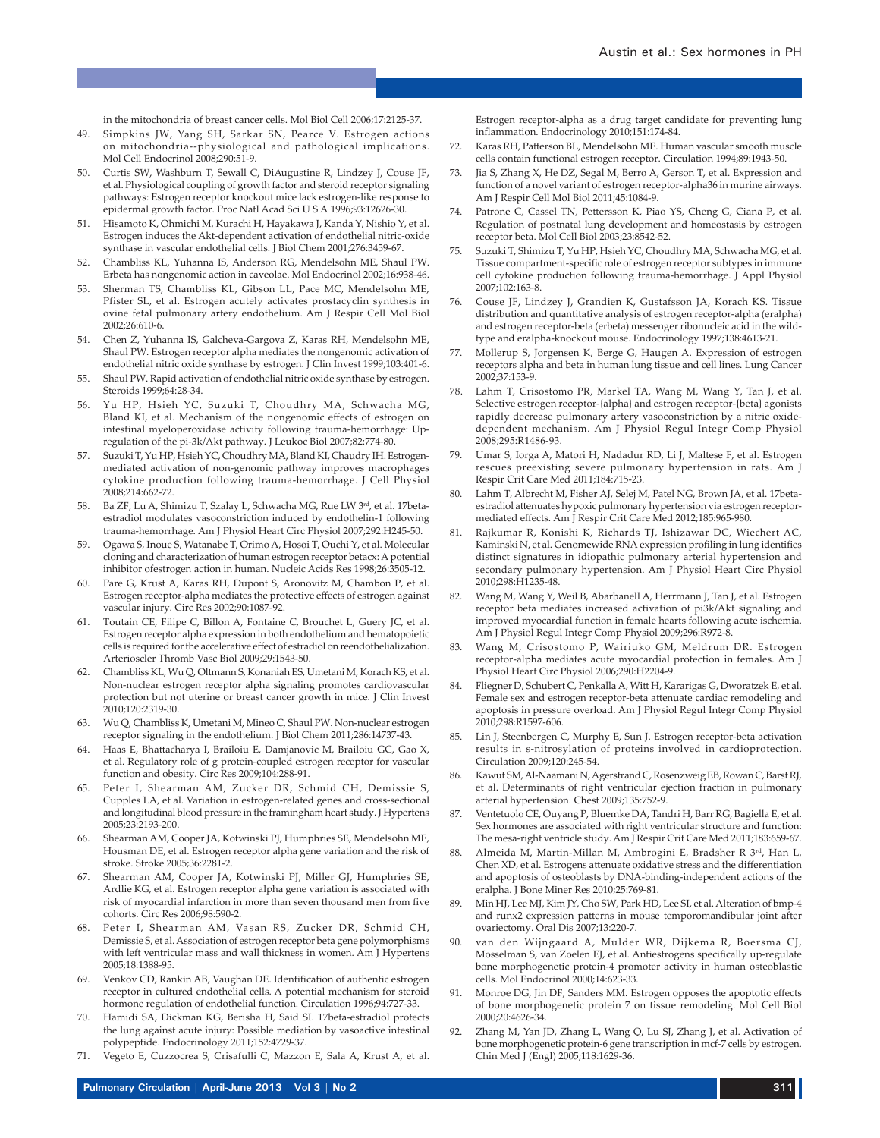in the mitochondria of breast cancer cells. Mol Biol Cell 2006;17:2125-37.

- 49. Simpkins JW, Yang SH, Sarkar SN, Pearce V. Estrogen actions on mitochondria--physiological and pathological implications. Mol Cell Endocrinol 2008;290:51-9
- Curtis SW, Washburn T, Sewall C, DiAugustine R, Lindzey J, Couse JF, et al. Physiological coupling of growth factor and steroid receptor signaling pathways: Estrogen receptor knockout mice lack estrogen-like response to epidermal growth factor. Proc Natl Acad Sci U S A 1996;93:12626-30.
- Hisamoto K, Ohmichi M, Kurachi H, Hayakawa J, Kanda Y, Nishio Y, et al. Estrogen induces the Akt-dependent activation of endothelial nitric-oxide synthase in vascular endothelial cells. J Biol Chem 2001;276:3459-67.
- 52. Chambliss KL, Yuhanna IS, Anderson RG, Mendelsohn ME, Shaul PW. Erbeta has nongenomic action in caveolae. Mol Endocrinol 2002;16:938-46.
- 53. Sherman TS, Chambliss KL, Gibson LL, Pace MC, Mendelsohn ME, Pfister SL, et al. Estrogen acutely activates prostacyclin synthesis in ovine fetal pulmonary artery endothelium. Am J Respir Cell Mol Biol 2002;26:610-6.
- 54. Chen Z, Yuhanna IS, Galcheva-Gargova Z, Karas RH, Mendelsohn ME, Shaul PW. Estrogen receptor alpha mediates the nongenomic activation of endothelial nitric oxide synthase by estrogen. J Clin Invest 1999;103:401-6.
- 55. Shaul PW. Rapid activation of endothelial nitric oxide synthase by estrogen. Steroids 1999;64:28-34.
- 56. Yu HP, Hsieh YC, Suzuki T, Choudhry MA, Schwacha MG, Bland KI, et al. Mechanism of the nongenomic effects of estrogen on intestinal myeloperoxidase activity following trauma-hemorrhage: Upregulation of the pi-3k/Akt pathway. J Leukoc Biol 2007;82:774-80.
- 57. Suzuki T, Yu HP, Hsieh YC, Choudhry MA, Bland KI, Chaudry IH. Estrogenmediated activation of non-genomic pathway improves macrophages cytokine production following trauma-hemorrhage. J Cell Physiol 2008;214:662-72.
- 58. Ba ZF, Lu A, Shimizu T, Szalay L, Schwacha MG, Rue LW 3rd, et al. 17betaestradiol modulates vasoconstriction induced by endothelin-1 following trauma-hemorrhage. Am J Physiol Heart Circ Physiol 2007;292:H245-50.
- 59. Ogawa S, Inoue S, Watanabe T, Orimo A, Hosoi T, Ouchi Y, et al. Molecular cloning and characterization of human estrogen receptor betacx: A potential inhibitor ofestrogen action in human. Nucleic Acids Res 1998;26:3505-12.
- Pare G, Krust A, Karas RH, Dupont S, Aronovitz M, Chambon P, et al. Estrogen receptor-alpha mediates the protective effects of estrogen against vascular injury. Circ Res 2002;90:1087-92.
- 61. Toutain CE, Filipe C, Billon A, Fontaine C, Brouchet L, Guery JC, et al. Estrogen receptor alpha expression in both endothelium and hematopoietic cells is required for the accelerative effect of estradiol on reendothelialization. Arterioscler Thromb Vasc Biol 2009;29:1543-50.
- 62. Chambliss KL, Wu Q, Oltmann S, Konaniah ES, Umetani M, Korach KS, et al. Non-nuclear estrogen receptor alpha signaling promotes cardiovascular protection but not uterine or breast cancer growth in mice. J Clin Invest 2010;120:2319-30.
- 63. Wu Q, Chambliss K, Umetani M, Mineo C, Shaul PW. Non-nuclear estrogen receptor signaling in the endothelium. J Biol Chem 2011;286:14737-43.
- Haas E, Bhattacharya I, Brailoiu E, Damjanovic M, Brailoiu GC, Gao X, et al. Regulatory role of g protein-coupled estrogen receptor for vascular function and obesity. Circ Res 2009;104:288-91.
- 65. Peter I, Shearman AM, Zucker DR, Schmid CH, Demissie S, Cupples LA, et al. Variation in estrogen-related genes and cross-sectional and longitudinal blood pressure in the framingham heart study. J Hypertens 2005;23:2193-200.
- Shearman AM, Cooper JA, Kotwinski PJ, Humphries SE, Mendelsohn ME, Housman DE, et al. Estrogen receptor alpha gene variation and the risk of stroke. Stroke 2005;36:2281-2.
- 67. Shearman AM, Cooper JA, Kotwinski PJ, Miller GJ, Humphries SE, Ardlie KG, et al. Estrogen receptor alpha gene variation is associated with risk of myocardial infarction in more than seven thousand men from five cohorts. Circ Res 2006;98:590-2.
- 68. Peter I, Shearman AM, Vasan RS, Zucker DR, Schmid CH, Demissie S, et al. Association of estrogen receptor beta gene polymorphisms with left ventricular mass and wall thickness in women. Am J Hypertens 2005;18:1388-95.
- 69. Venkov CD, Rankin AB, Vaughan DE. Identification of authentic estrogen receptor in cultured endothelial cells. A potential mechanism for steroid hormone regulation of endothelial function. Circulation 1996;94:727-33.
- 70. Hamidi SA, Dickman KG, Berisha H, Said SI. 17beta-estradiol protects the lung against acute injury: Possible mediation by vasoactive intestinal polypeptide. Endocrinology 2011;152:4729-37.
- 71. Vegeto E, Cuzzocrea S, Crisafulli C, Mazzon E, Sala A, Krust A, et al.

Estrogen receptor-alpha as a drug target candidate for preventing lung inflammation. Endocrinology 2010;151:174-84.

- 72. Karas RH, Patterson BL, Mendelsohn ME. Human vascular smooth muscle cells contain functional estrogen receptor. Circulation 1994;89:1943-50.
- Jia S, Zhang X, He DZ, Segal M, Berro A, Gerson T, et al. Expression and function of a novel variant of estrogen receptor-alpha36 in murine airways. Am J Respir Cell Mol Biol 2011;45:1084-9.
- 74. Patrone C, Cassel TN, Pettersson K, Piao YS, Cheng G, Ciana P, et al. Regulation of postnatal lung development and homeostasis by estrogen receptor beta. Mol Cell Biol 2003;23:8542-52.
- 75. Suzuki T, Shimizu T, Yu HP, Hsieh YC, Choudhry MA, Schwacha MG, et al. Tissue compartment-specific role of estrogen receptor subtypes in immune cell cytokine production following trauma-hemorrhage. J Appl Physiol 2007;102:163-8.
- 76. Couse JF, Lindzey J, Grandien K, Gustafsson JA, Korach KS. Tissue distribution and quantitative analysis of estrogen receptor-alpha (eralpha) and estrogen receptor-beta (erbeta) messenger ribonucleic acid in the wildtype and eralpha-knockout mouse. Endocrinology 1997;138:4613-21.
- Mollerup S, Jorgensen K, Berge G, Haugen A. Expression of estrogen receptors alpha and beta in human lung tissue and cell lines. Lung Cancer 2002;37:153-9.
- 78. Lahm T, Crisostomo PR, Markel TA, Wang M, Wang Y, Tan J, et al. Selective estrogen receptor-{alpha} and estrogen receptor-{beta} agonists rapidly decrease pulmonary artery vasoconstriction by a nitric oxidedependent mechanism. Am J Physiol Regul Integr Comp Physiol 2008;295:R1486-93.
- Umar S, Iorga A, Matori H, Nadadur RD, Li J, Maltese F, et al. Estrogen rescues preexisting severe pulmonary hypertension in rats. Am J Respir Crit Care Med 2011;184:715-23.
- 80. Lahm T, Albrecht M, Fisher AJ, Selej M, Patel NG, Brown JA, et al. 17betaestradiol attenuates hypoxic pulmonary hypertension via estrogen receptormediated effects. Am J Respir Crit Care Med 2012;185:965-980.
- 81. Rajkumar R, Konishi K, Richards TJ, Ishizawar DC, Wiechert AC, Kaminski N, et al. Genomewide RNA expression profiling in lung identifies distinct signatures in idiopathic pulmonary arterial hypertension and secondary pulmonary hypertension. Am J Physiol Heart Circ Physiol 2010;298:H1235-48.
- 82. Wang M, Wang Y, Weil B, Abarbanell A, Herrmann J, Tan J, et al. Estrogen receptor beta mediates increased activation of pi3k/Akt signaling and improved myocardial function in female hearts following acute ischemia. Am J Physiol Regul Integr Comp Physiol 2009;296:R972-8
- Wang M, Crisostomo P, Wairiuko GM, Meldrum DR. Estrogen receptor-alpha mediates acute myocardial protection in females. Am J Physiol Heart Circ Physiol 2006;290:H2204-9.
- Fliegner D, Schubert C, Penkalla A, Witt H, Kararigas G, Dworatzek E, et al. Female sex and estrogen receptor-beta attenuate cardiac remodeling and apoptosis in pressure overload. Am J Physiol Regul Integr Comp Physiol 2010;298:R1597-606.
- 85. Lin J, Steenbergen C, Murphy E, Sun J. Estrogen receptor-beta activation results in s-nitrosylation of proteins involved in cardioprotection. Circulation 2009;120:245-54.
- 86. Kawut SM, Al-Naamani N, Agerstrand C, Rosenzweig EB, Rowan C, Barst RJ, et al. Determinants of right ventricular ejection fraction in pulmonary arterial hypertension. Chest 2009;135:752-9.
- Ventetuolo CE, Ouyang P, Bluemke DA, Tandri H, Barr RG, Bagiella E, et al. Sex hormones are associated with right ventricular structure and function: The mesa-right ventricle study. Am J Respir Crit Care Med 2011;183:659-67.
- 88. Almeida M, Martin-Millan M, Ambrogini E, Bradsher R 3rd, Han L, Chen XD, et al. Estrogens attenuate oxidative stress and the differentiation and apoptosis of osteoblasts by DNA-binding-independent actions of the eralpha. J Bone Miner Res 2010;25:769-81.
- 89. Min HJ, Lee MJ, Kim JY, Cho SW, Park HD, Lee SI, et al. Alteration of bmp-4 and runx2 expression patterns in mouse temporomandibular joint after ovariectomy. Oral Dis 2007;13:220-7.
- 90. van den Wijngaard A, Mulder WR, Dijkema R, Boersma CJ, Mosselman S, van Zoelen EJ, et al. Antiestrogens specifically up-regulate bone morphogenetic protein-4 promoter activity in human osteoblastic cells. Mol Endocrinol 2000;14:623-33.
- 91. Monroe DG, Jin DF, Sanders MM. Estrogen opposes the apoptotic effects of bone morphogenetic protein 7 on tissue remodeling. Mol Cell Biol 2000;20:4626-34.
- 92. Zhang M, Yan JD, Zhang L, Wang Q, Lu SJ, Zhang J, et al. Activation of bone morphogenetic protein-6 gene transcription in mcf-7 cells by estrogen. Chin Med J (Engl) 2005;118:1629-36.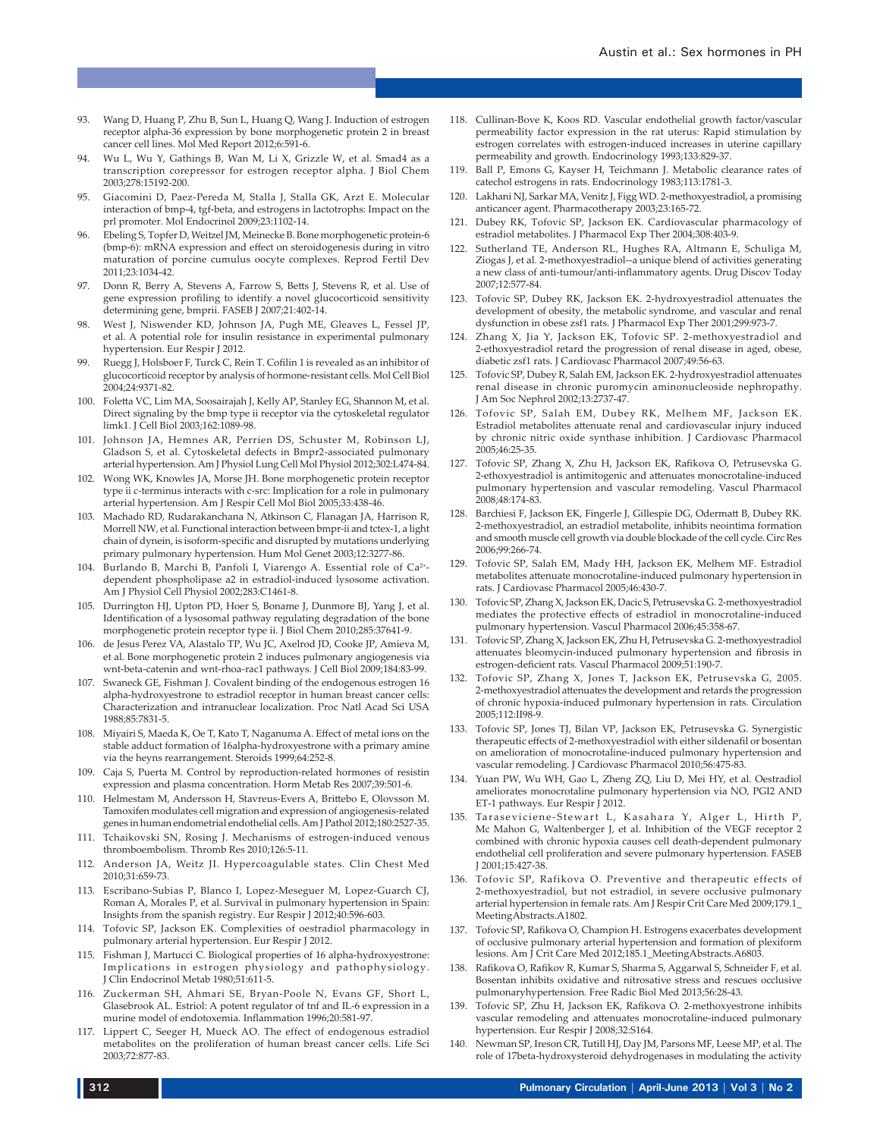- Wang D, Huang P, Zhu B, Sun L, Huang Q, Wang J. Induction of estrogen receptor alpha-36 expression by bone morphogenetic protein 2 in breast cancer cell lines. Mol Med Report 2012;6:591-6.
- Wu L, Wu Y, Gathings B, Wan M, Li X, Grizzle W, et al. Smad4 as a transcription corepressor for estrogen receptor alpha. J Biol Chem 2003;278:15192-200.
- 95. Giacomini D, Paez-Pereda M, Stalla J, Stalla GK, Arzt E. Molecular interaction of bmp-4, tgf-beta, and estrogens in lactotrophs: Impact on the prl promoter. Mol Endocrinol 2009;23:1102-14.
- 96. Ebeling S, Topfer D, Weitzel JM, Meinecke B. Bone morphogenetic protein-6 (bmp-6): mRNA expression and effect on steroidogenesis during in vitro maturation of porcine cumulus oocyte complexes. Reprod Fertil Dev 2011;23:1034-42.
- 97. Donn R, Berry A, Stevens A, Farrow S, Betts J, Stevens R, et al. Use of gene expression profiling to identify a novel glucocorticoid sensitivity determining gene, bmprii. FASEB J 2007;21:402-14.
- 98. West J, Niswender KD, Johnson JA, Pugh ME, Gleaves L, Fessel JP, et al. A potential role for insulin resistance in experimental pulmonary hypertension. Eur Respir J 2012.
- 99. Ruegg J, Holsboer F, Turck C, Rein T. Cofilin 1 is revealed as an inhibitor of glucocorticoid receptor by analysis of hormone-resistant cells. Mol Cell Biol 2004;24:9371-82.
- 100. Foletta VC, Lim MA, Soosairajah J, Kelly AP, Stanley EG, Shannon M, et al. Direct signaling by the bmp type ii receptor via the cytoskeletal regulator limk1. J Cell Biol 2003;162:1089-98.
- 101. Johnson JA, Hemnes AR, Perrien DS, Schuster M, Robinson LJ, Gladson S, et al. Cytoskeletal defects in Bmpr2-associated pulmonary arterial hypertension. Am J Physiol Lung Cell Mol Physiol 2012;302:L474-84.
- 102. Wong WK, Knowles JA, Morse JH. Bone morphogenetic protein receptor type ii c-terminus interacts with c-src: Implication for a role in pulmonary arterial hypertension. Am J Respir Cell Mol Biol 2005;33:438-46.
- 103. Machado RD, Rudarakanchana N, Atkinson C, Flanagan JA, Harrison R, Morrell NW, et al. Functional interaction between bmpr-ii and tctex-1, a light chain of dynein, is isoform-specific and disrupted by mutations underlying primary pulmonary hypertension. Hum Mol Genet 2003;12:3277-86.
- 104. Burlando B, Marchi B, Panfoli I, Viarengo A. Essential role of  $Ca^{2+}$ dependent phospholipase a2 in estradiol-induced lysosome activation. Am J Physiol Cell Physiol 2002;283:C1461-8.
- 105. Durrington HJ, Upton PD, Hoer S, Boname J, Dunmore BJ, Yang J, et al. Identification of a lysosomal pathway regulating degradation of the bone morphogenetic protein receptor type ii. J Biol Chem 2010;285:37641-9.
- 106. de Jesus Perez VA, Alastalo TP, Wu JC, Axelrod JD, Cooke JP, Amieva M, et al. Bone morphogenetic protein 2 induces pulmonary angiogenesis via wnt-beta-catenin and wnt-rhoa-rac1 pathways. J Cell Biol 2009;184:83-99.
- 107. Swaneck GE, Fishman J. Covalent binding of the endogenous estrogen 16 alpha-hydroxyestrone to estradiol receptor in human breast cancer cells: Characterization and intranuclear localization. Proc Natl Acad Sci USA 1988;85:7831-5.
- 108. Miyairi S, Maeda K, Oe T, Kato T, Naganuma A. Effect of metal ions on the stable adduct formation of 16alpha-hydroxyestrone with a primary amine via the heyns rearrangement. Steroids 1999;64:252-8.
- 109. Caja S, Puerta M. Control by reproduction-related hormones of resistin expression and plasma concentration. Horm Metab Res 2007;39:501-6.
- 110. Helmestam M, Andersson H, Stavreus-Evers A, Brittebo E, Olovsson M. Tamoxifen modulates cell migration and expression of angiogenesis-related genes in human endometrial endothelial cells. Am J Pathol 2012;180:2527-35.
- 111. Tchaikovski SN, Rosing J. Mechanisms of estrogen-induced venous thromboembolism. Thromb Res 2010;126:5-11.
- 112. Anderson JA, Weitz JI. Hypercoagulable states. Clin Chest Med 2010;31:659-73.
- 113. Escribano-Subias P, Blanco I, Lopez-Meseguer M, Lopez-Guarch CJ, Roman A, Morales P, et al. Survival in pulmonary hypertension in Spain: Insights from the spanish registry. Eur Respir J 2012;40:596-603.
- 114. Tofovic SP, Jackson EK. Complexities of oestradiol pharmacology in pulmonary arterial hypertension. Eur Respir J 2012.
- 115. Fishman J, Martucci C. Biological properties of 16 alpha-hydroxyestrone: Implications in estrogen physiology and pathophysiology. J Clin Endocrinol Metab 1980;51:611-5.
- 116. Zuckerman SH, Ahmari SE, Bryan-Poole N, Evans GF, Short L, Glasebrook AL. Estriol: A potent regulator of tnf and IL-6 expression in a murine model of endotoxemia. Inflammation 1996;20:581-97.
- 117. Lippert C, Seeger H, Mueck AO. The effect of endogenous estradiol metabolites on the proliferation of human breast cancer cells. Life Sci 2003;72:877-83.
- 118. Cullinan-Bove K, Koos RD. Vascular endothelial growth factor/vascular permeability factor expression in the rat uterus: Rapid stimulation by estrogen correlates with estrogen-induced increases in uterine capillary permeability and growth. Endocrinology 1993;133:829-37.
- 119. Ball P, Emons G, Kayser H, Teichmann J. Metabolic clearance rates of catechol estrogens in rats. Endocrinology 1983;113:1781-3.
- 120. Lakhani NJ, Sarkar MA, Venitz J, Figg WD. 2-methoxyestradiol, a promising anticancer agent. Pharmacotherapy 2003;23:165-72.
- 121. Dubey RK, Tofovic SP, Jackson EK. Cardiovascular pharmacology of estradiol metabolites. J Pharmacol Exp Ther 2004;308:403-9.
- 122. Sutherland TE, Anderson RL, Hughes RA, Altmann E, Schuliga M, Ziogas J, et al. 2-methoxyestradiol--a unique blend of activities generating a new class of anti-tumour/anti-inflammatory agents. Drug Discov Today 2007;12:577-84.
- 123. Tofovic SP, Dubey RK, Jackson EK. 2-hydroxyestradiol attenuates the development of obesity, the metabolic syndrome, and vascular and renal dysfunction in obese zsf1 rats. J Pharmacol Exp Ther 2001;299:973-7.
- 124. Zhang X, Jia Y, Jackson EK, Tofovic SP. 2-methoxyestradiol and 2-ethoxyestradiol retard the progression of renal disease in aged, obese, diabetic zsf1 rats. J Cardiovasc Pharmacol 2007;49:56-63.
- 125. Tofovic SP, Dubey R, Salah EM, Jackson EK. 2-hydroxyestradiol attenuates renal disease in chronic puromycin aminonucleoside nephropathy. J Am Soc Nephrol 2002;13:2737-47.
- 126. Tofovic SP, Salah EM, Dubey RK, Melhem MF, Jackson EK. Estradiol metabolites attenuate renal and cardiovascular injury induced by chronic nitric oxide synthase inhibition. J Cardiovasc Pharmacol 2005;46:25-35.
- 127. Tofovic SP, Zhang X, Zhu H, Jackson EK, Rafikova O, Petrusevska G. 2-ethoxyestradiol is antimitogenic and attenuates monocrotaline-induced pulmonary hypertension and vascular remodeling. Vascul Pharmacol 2008;48:174-83.
- 128. Barchiesi F, Jackson EK, Fingerle J, Gillespie DG, Odermatt B, Dubey RK. 2-methoxyestradiol, an estradiol metabolite, inhibits neointima formation and smooth muscle cell growth via double blockade of the cell cycle. Circ Res 2006;99:266-74.
- 129. Tofovic SP, Salah EM, Mady HH, Jackson EK, Melhem MF. Estradiol metabolites attenuate monocrotaline-induced pulmonary hypertension in rats. J Cardiovasc Pharmacol 2005;46:430-7.
- 130. Tofovic SP, Zhang X, Jackson EK, Dacic S, Petrusevska G. 2-methoxyestradiol mediates the protective effects of estradiol in monocrotaline-induced pulmonary hypertension. Vascul Pharmacol 2006;45:358-67.
- 131. Tofovic SP, Zhang X, Jackson EK, Zhu H, Petrusevska G. 2-methoxyestradiol attenuates bleomycin-induced pulmonary hypertension and fibrosis in estrogen-deficient rats. Vascul Pharmacol 2009;51:190-7.
- 132. Tofovic SP, Zhang X, Jones T, Jackson EK, Petrusevska G, 2005. 2-methoxyestradiol attenuates the development and retards the progression of chronic hypoxia-induced pulmonary hypertension in rats. Circulation 2005;112:II98-9.
- 133. Tofovic SP, Jones TJ, Bilan VP, Jackson EK, Petrusevska G. Synergistic therapeutic effects of 2-methoxyestradiol with either sildenafil or bosentan on amelioration of monocrotaline-induced pulmonary hypertension and vascular remodeling. J Cardiovasc Pharmacol 2010;56:475-83.
- 134. Yuan PW, Wu WH, Gao L, Zheng ZQ, Liu D, Mei HY, et al. Oestradiol ameliorates monocrotaline pulmonary hypertension via NO, PGI2 AND ET-1 pathways. Eur Respir J 2012.
- 135. Taraseviciene-Stewart L, Kasahara Y, Alger L, Hirth P, Mc Mahon G, Waltenberger J, et al. Inhibition of the VEGF receptor 2 combined with chronic hypoxia causes cell death-dependent pulmonary endothelial cell proliferation and severe pulmonary hypertension. FASEB J 2001;15:427-38.
- 136. Tofovic SP, Rafikova O. Preventive and therapeutic effects of 2-methoxyestradiol, but not estradiol, in severe occlusive pulmonary arterial hypertension in female rats. Am J Respir Crit Care Med 2009;179.1\_ MeetingAbstracts.A1802.
- 137. Tofovic SP, Rafikova O, Champion H. Estrogens exacerbates development of occlusive pulmonary arterial hypertension and formation of plexiform lesions. Am J Crit Care Med 2012;185.1\_MeetingAbstracts.A6803.
- 138. Rafikova O, Rafikov R, Kumar S, Sharma S, Aggarwal S, Schneider F, et al. Bosentan inhibits oxidative and nitrosative stress and rescues occlusive pulmonaryhypertension. Free Radic Biol Med 2013;56:28-43.
- 139. Tofovic SP, Zhu H, Jackson EK, Rafikova O. 2-methoxyestrone inhibits vascular remodeling and attenuates monocrotaline-induced pulmonary hypertension. Eur Respir J 2008;32:S164.
- 140. Newman SP, Ireson CR, Tutill HJ, Day JM, Parsons MF, Leese MP, et al. The role of 17beta-hydroxysteroid dehydrogenases in modulating the activity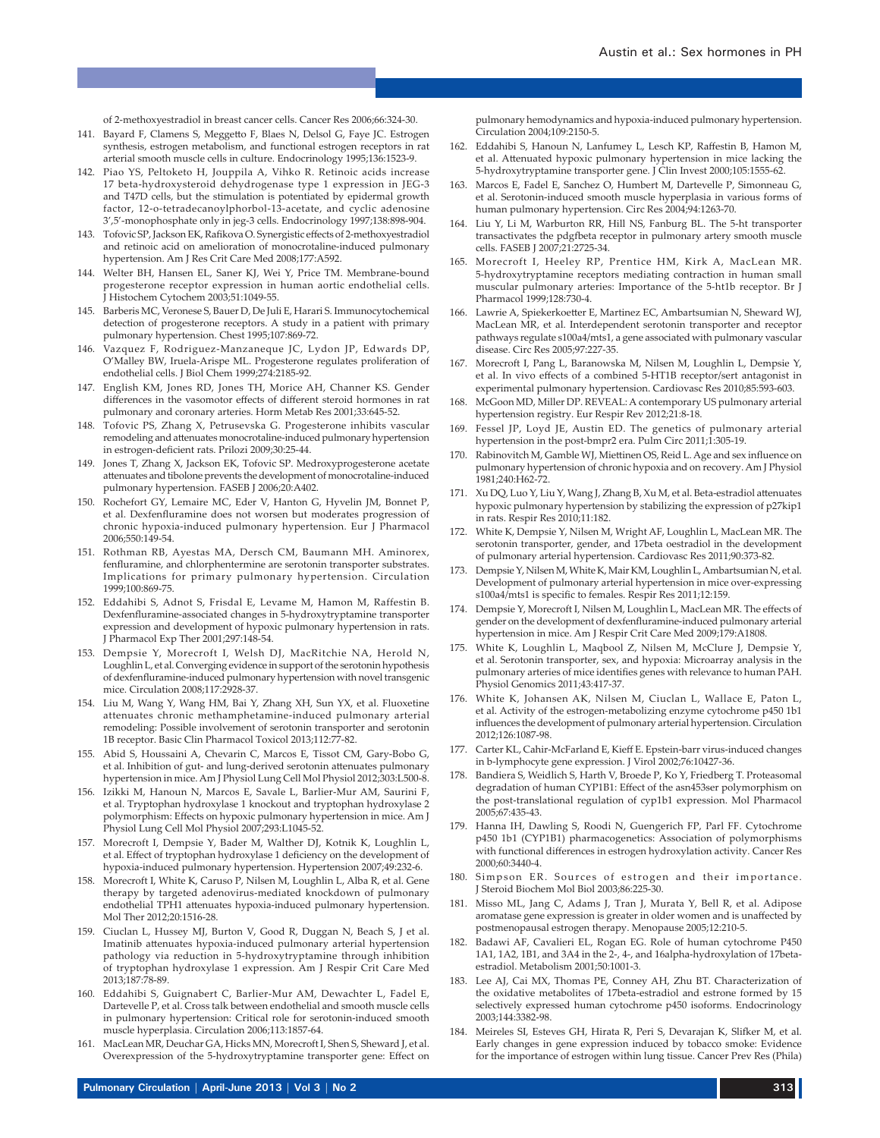of 2-methoxyestradiol in breast cancer cells. Cancer Res 2006;66:324-30.

- 141. Bayard F, Clamens S, Meggetto F, Blaes N, Delsol G, Faye JC. Estrogen synthesis, estrogen metabolism, and functional estrogen receptors in rat arterial smooth muscle cells in culture. Endocrinology 1995;136:1523-9.
- 142. Piao YS, Peltoketo H, Jouppila A, Vihko R. Retinoic acids increase 17 beta-hydroxysteroid dehydrogenase type 1 expression in JEG-3 and T47D cells, but the stimulation is potentiated by epidermal growth factor, 12-o-tetradecanoylphorbol-13-acetate, and cyclic adenosine  $3^{\prime},5^{\prime}$  -monophosphate only in jeg-3 cells. Endocrinology 1997;138:898-904.
- 143. Tofovic SP, Jackson EK, Rafikova O. Synergistic effects of 2-methoxyestradiol and retinoic acid on amelioration of monocrotaline-induced pulmonary hypertension. Am J Res Crit Care Med 2008;177:A592.
- 144. Welter BH, Hansen EL, Saner KJ, Wei Y, Price TM. Membrane-bound progesterone receptor expression in human aortic endothelial cells. J Histochem Cytochem 2003;51:1049-55.
- 145. Barberis MC, Veronese S, Bauer D, De Juli E, Harari S. Immunocytochemical detection of progesterone receptors. A study in a patient with primary pulmonary hypertension. Chest 1995;107:869-72.
- 146. Vazquez F, Rodriguez-Manzaneque JC, Lydon JP, Edwards DP, O'Malley BW, Iruela-Arispe ML. Progesterone regulates proliferation of endothelial cells. J Biol Chem 1999;274:2185-92.
- 147. English KM, Jones RD, Jones TH, Morice AH, Channer KS. Gender differences in the vasomotor effects of different steroid hormones in rat pulmonary and coronary arteries. Horm Metab Res 2001;33:645-52.
- 148. Tofovic PS, Zhang X, Petrusevska G. Progesterone inhibits vascular remodeling and attenuates monocrotaline-induced pulmonary hypertension in estrogen-deficient rats. Prilozi 2009;30:25-44.
- 149. Jones T, Zhang X, Jackson EK, Tofovic SP. Medroxyprogesterone acetate attenuates and tibolone prevents the development of monocrotaline-induced pulmonary hypertension. FASEB J 2006;20:A402.
- 150. Rochefort GY, Lemaire MC, Eder V, Hanton G, Hyvelin JM, Bonnet P, et al. Dexfenfluramine does not worsen but moderates progression of chronic hypoxia-induced pulmonary hypertension. Eur J Pharmacol 2006;550:149-54.
- 151. Rothman RB, Ayestas MA, Dersch CM, Baumann MH. Aminorex, fenfluramine, and chlorphentermine are serotonin transporter substrates. Implications for primary pulmonary hypertension. Circulation 1999;100:869-75.
- 152. Eddahibi S, Adnot S, Frisdal E, Levame M, Hamon M, Raffestin B. Dexfenfluramine-associated changes in 5-hydroxytryptamine transporter expression and development of hypoxic pulmonary hypertension in rats. J Pharmacol Exp Ther 2001;297:148-54.
- 153. Dempsie Y, Morecroft I, Welsh DJ, MacRitchie NA, Herold N, Loughlin L, et al. Converging evidence in support of the serotonin hypothesis of dexfenfluramine-induced pulmonary hypertension with novel transgenic mice. Circulation 2008;117:2928-37.
- 154. Liu M, Wang Y, Wang HM, Bai Y, Zhang XH, Sun YX, et al. Fluoxetine attenuates chronic methamphetamine-induced pulmonary arterial remodeling: Possible involvement of serotonin transporter and serotonin 1B receptor. Basic Clin Pharmacol Toxicol 2013;112:77-82.
- 155. Abid S, Houssaini A, Chevarin C, Marcos E, Tissot CM, Gary-Bobo G, et al. Inhibition of gut- and lung-derived serotonin attenuates pulmonary hypertension in mice. Am J Physiol Lung Cell Mol Physiol 2012;303:L500-8.
- 156. Izikki M, Hanoun N, Marcos E, Savale L, Barlier-Mur AM, Saurini F, et al. Tryptophan hydroxylase 1 knockout and tryptophan hydroxylase 2 polymorphism: Effects on hypoxic pulmonary hypertension in mice. Am J Physiol Lung Cell Mol Physiol 2007;293:L1045-52.
- 157. Morecroft I, Dempsie Y, Bader M, Walther DJ, Kotnik K, Loughlin L, et al. Effect of tryptophan hydroxylase 1 deficiency on the development of hypoxia-induced pulmonary hypertension. Hypertension 2007;49:232-6.
- 158. Morecroft I, White K, Caruso P, Nilsen M, Loughlin L, Alba R, et al. Gene therapy by targeted adenovirus-mediated knockdown of pulmonary endothelial TPH1 attenuates hypoxia-induced pulmonary hypertension. Mol Ther 2012;20:1516-28
- 159. Ciuclan L, Hussey MJ, Burton V, Good R, Duggan N, Beach S, J et al. Imatinib attenuates hypoxia-induced pulmonary arterial hypertension pathology via reduction in 5-hydroxytryptamine through inhibition of tryptophan hydroxylase 1 expression. Am J Respir Crit Care Med 2013;187:78-89.
- 160. Eddahibi S, Guignabert C, Barlier-Mur AM, Dewachter L, Fadel E, Dartevelle P, et al. Cross talk between endothelial and smooth muscle cells in pulmonary hypertension: Critical role for serotonin-induced smooth muscle hyperplasia. Circulation 2006;113:1857-64.
- 161. MacLean MR, Deuchar GA, Hicks MN, Morecroft I, Shen S, Sheward J, et al. Overexpression of the 5-hydroxytryptamine transporter gene: Effect on

pulmonary hemodynamics and hypoxia-induced pulmonary hypertension. Circulation 2004;109:2150-5.

- 162. Eddahibi S, Hanoun N, Lanfumey L, Lesch KP, Raffestin B, Hamon M, et al. Attenuated hypoxic pulmonary hypertension in mice lacking the 5-hydroxytryptamine transporter gene. J Clin Invest 2000;105:1555-62.
- 163. Marcos E, Fadel E, Sanchez O, Humbert M, Dartevelle P, Simonneau G, et al. Serotonin-induced smooth muscle hyperplasia in various forms of human pulmonary hypertension. Circ Res 2004;94:1263-70.
- 164. Liu Y, Li M, Warburton RR, Hill NS, Fanburg BL. The 5-ht transporter transactivates the pdgfbeta receptor in pulmonary artery smooth muscle cells. FASEB J 2007;21:2725-34.
- 165. Morecroft I, Heeley RP, Prentice HM, Kirk A, MacLean MR. 5-hydroxytryptamine receptors mediating contraction in human small muscular pulmonary arteries: Importance of the 5-ht1b receptor. Br J Pharmacol 1999;128:730-4.
- 166. Lawrie A, Spiekerkoetter E, Martinez EC, Ambartsumian N, Sheward WJ, MacLean MR, et al. Interdependent serotonin transporter and receptor pathways regulate s100a4/mts1, a gene associated with pulmonary vascular disease. Circ Res 2005;97:227-35.
- 167. Morecroft I, Pang L, Baranowska M, Nilsen M, Loughlin L, Dempsie Y, et al. In vivo effects of a combined 5-HT1B receptor/sert antagonist in experimental pulmonary hypertension. Cardiovasc Res 2010;85:593-603.
- 168. McGoon MD, Miller DP. REVEAL: A contemporary US pulmonary arterial hypertension registry. Eur Respir Rev 2012;21:8-18.
- 169. Fessel JP, Loyd JE, Austin ED. The genetics of pulmonary arterial hypertension in the post-bmpr2 era. Pulm Circ 2011;1:305-19.
- 170. Rabinovitch M, Gamble WJ, Miettinen OS, Reid L. Age and sex influence on pulmonary hypertension of chronic hypoxia and on recovery. Am J Physiol 1981;240:H62-72.
- 171. Xu DQ, Luo Y, Liu Y, Wang J, Zhang B, Xu M, et al. Beta-estradiol attenuates hypoxic pulmonary hypertension by stabilizing the expression of p27kip1 in rats. Respir Res 2010;11:182.
- 172. White K, Dempsie Y, Nilsen M, Wright AF, Loughlin L, MacLean MR. The serotonin transporter, gender, and 17beta oestradiol in the development of pulmonary arterial hypertension. Cardiovasc Res 2011;90:373-82.
- Dempsie Y, Nilsen M, White K, Mair KM, Loughlin L, Ambartsumian N, et al. Development of pulmonary arterial hypertension in mice over-expressing s100a4/mts1 is specific to females. Respir Res 2011;12:159.
- 174. Dempsie Y, Morecroft I, Nilsen M, Loughlin L, MacLean MR. The effects of gender on the development of dexfenfluramine-induced pulmonary arterial hypertension in mice. Am J Respir Crit Care Med 2009;179:A1808.
- 175. White K, Loughlin L, Maqbool Z, Nilsen M, McClure J, Dempsie Y, et al. Serotonin transporter, sex, and hypoxia: Microarray analysis in the pulmonary arteries of mice identifies genes with relevance to human PAH. Physiol Genomics 2011;43:417-37.
- 176. White K, Johansen AK, Nilsen M, Ciuclan L, Wallace E, Paton L, et al. Activity of the estrogen-metabolizing enzyme cytochrome p450 1b1 influences the development of pulmonary arterial hypertension. Circulation 2012;126:1087-98.
- 177. Carter KL, Cahir-McFarland E, Kieff E. Epstein-barr virus-induced changes in b-lymphocyte gene expression. J Virol 2002;76:10427-36.
- 178. Bandiera S, Weidlich S, Harth V, Broede P, Ko Y, Friedberg T. Proteasomal degradation of human CYP1B1: Effect of the asn453ser polymorphism on the post-translational regulation of cyp1b1 expression. Mol Pharmacol 2005;67:435-43.
- 179. Hanna IH, Dawling S, Roodi N, Guengerich FP, Parl FF. Cytochrome p450 1b1 (CYP1B1) pharmacogenetics: Association of polymorphisms with functional differences in estrogen hydroxylation activity. Cancer Res 2000;60:3440-4.
- 180. Simpson ER. Sources of estrogen and their importance. J Steroid Biochem Mol Biol 2003;86:225-30.
- 181. Misso ML, Jang C, Adams J, Tran J, Murata Y, Bell R, et al. Adipose aromatase gene expression is greater in older women and is unaffected by postmenopausal estrogen therapy. Menopause 2005;12:210-5.
- 182. Badawi AF, Cavalieri EL, Rogan EG. Role of human cytochrome P450 1A1, 1A2, 1B1, and 3A4 in the 2-, 4-, and 16alpha-hydroxylation of 17betaestradiol. Metabolism 2001;50:1001-3.
- 183. Lee AJ, Cai MX, Thomas PE, Conney AH, Zhu BT. Characterization of the oxidative metabolites of 17beta-estradiol and estrone formed by 15 selectively expressed human cytochrome p450 isoforms. Endocrinology 2003;144:3382-98.
- 184. Meireles SI, Esteves GH, Hirata R, Peri S, Devarajan K, Slifker M, et al. Early changes in gene expression induced by tobacco smoke: Evidence for the importance of estrogen within lung tissue. Cancer Prev Res (Phila)